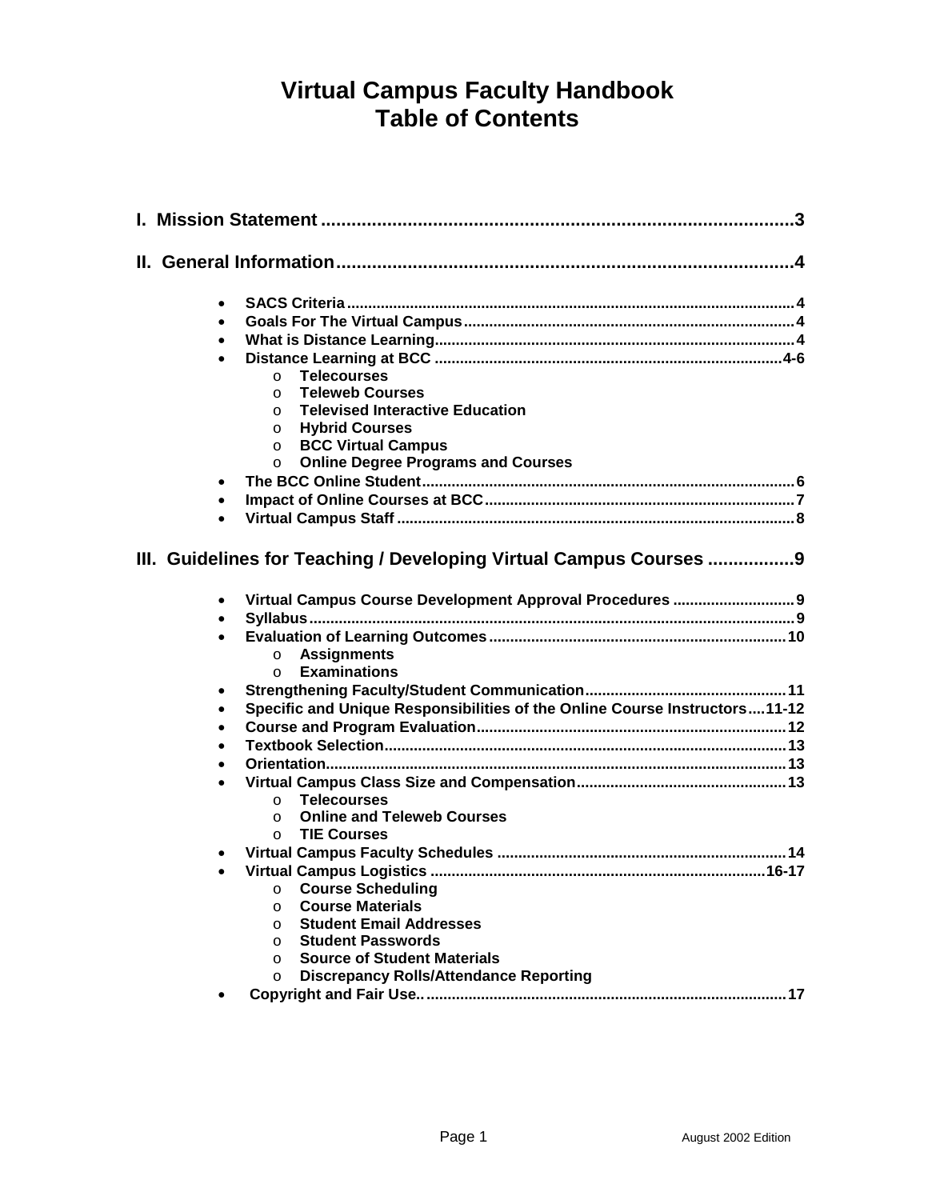# **Virtual Campus Faculty Handbook Table of Contents**

| $\bullet$ |                                                                                                                                |
|-----------|--------------------------------------------------------------------------------------------------------------------------------|
| $\bullet$ |                                                                                                                                |
| $\bullet$ |                                                                                                                                |
|           |                                                                                                                                |
|           | <b>Telecourses</b><br>$\circ$                                                                                                  |
|           | <b>Teleweb Courses</b><br>$\Omega$                                                                                             |
|           | <b>Televised Interactive Education</b><br>$\Omega$                                                                             |
|           | <b>Hybrid Courses</b><br>$\circ$                                                                                               |
|           | <b>BCC Virtual Campus</b><br>$\circ$                                                                                           |
|           | <b>Online Degree Programs and Courses</b><br>$\circ$                                                                           |
| $\bullet$ |                                                                                                                                |
| $\bullet$ |                                                                                                                                |
| $\bullet$ |                                                                                                                                |
| $\bullet$ | III. Guidelines for Teaching / Developing Virtual Campus Courses 9<br>Virtual Campus Course Development Approval Procedures  9 |
|           |                                                                                                                                |
| $\bullet$ |                                                                                                                                |
|           | <b>Assignments</b><br>$\circ$                                                                                                  |
|           | <b>Examinations</b><br>$\Omega$                                                                                                |
| ٠         |                                                                                                                                |
| $\bullet$ | Specific and Unique Responsibilities of the Online Course Instructors11-12                                                     |
| $\bullet$ |                                                                                                                                |
| $\bullet$ |                                                                                                                                |
|           |                                                                                                                                |
|           |                                                                                                                                |
|           | <b>Telecourses</b><br>$\Omega$                                                                                                 |
|           | <b>Online and Teleweb Courses</b><br>$\circ$                                                                                   |
|           | <b>TIE Courses</b><br>$\Omega$                                                                                                 |
| ٠         |                                                                                                                                |
| $\bullet$ |                                                                                                                                |
|           | <b>Course Scheduling Course Scheduling</b><br>O                                                                                |
|           | <b>Course Materials</b><br>$\circ$                                                                                             |
|           | <b>Student Email Addresses</b><br>$\circ$                                                                                      |
|           | <b>Student Passwords</b><br>$\circ$                                                                                            |
|           | <b>Source of Student Materials</b><br>$\circ$                                                                                  |
|           | <b>Discrepancy Rolls/Attendance Reporting</b><br>$\circ$                                                                       |
| ٠         |                                                                                                                                |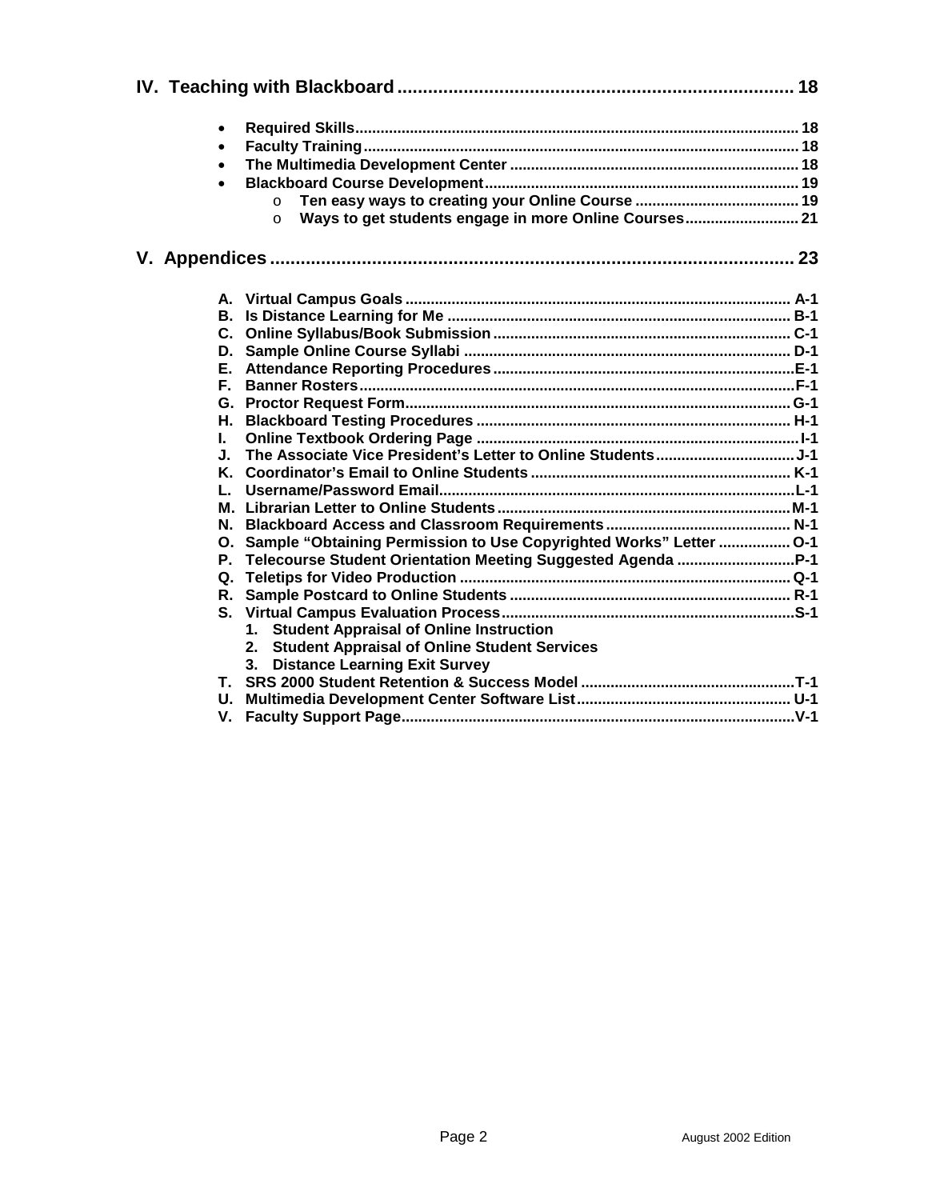| $\bullet$                                                             |  |  |  |
|-----------------------------------------------------------------------|--|--|--|
| $\bullet$                                                             |  |  |  |
| $\bullet$                                                             |  |  |  |
| $\bullet$                                                             |  |  |  |
| $\circ$                                                               |  |  |  |
| Ways to get students engage in more Online Courses 21<br>$\Omega$     |  |  |  |
|                                                                       |  |  |  |
|                                                                       |  |  |  |
|                                                                       |  |  |  |
|                                                                       |  |  |  |
|                                                                       |  |  |  |
|                                                                       |  |  |  |
|                                                                       |  |  |  |
| Е.                                                                    |  |  |  |
| Е.                                                                    |  |  |  |
|                                                                       |  |  |  |
| Н.                                                                    |  |  |  |
| L.<br>J.                                                              |  |  |  |
|                                                                       |  |  |  |
| L.                                                                    |  |  |  |
|                                                                       |  |  |  |
|                                                                       |  |  |  |
| O. Sample "Obtaining Permission to Use Copyrighted Works" Letter  O-1 |  |  |  |
| P.                                                                    |  |  |  |
|                                                                       |  |  |  |
|                                                                       |  |  |  |
|                                                                       |  |  |  |
| 1. Student Appraisal of Online Instruction                            |  |  |  |
| 2. Student Appraisal of Online Student Services                       |  |  |  |
| 3. Distance Learning Exit Survey                                      |  |  |  |
|                                                                       |  |  |  |
|                                                                       |  |  |  |
|                                                                       |  |  |  |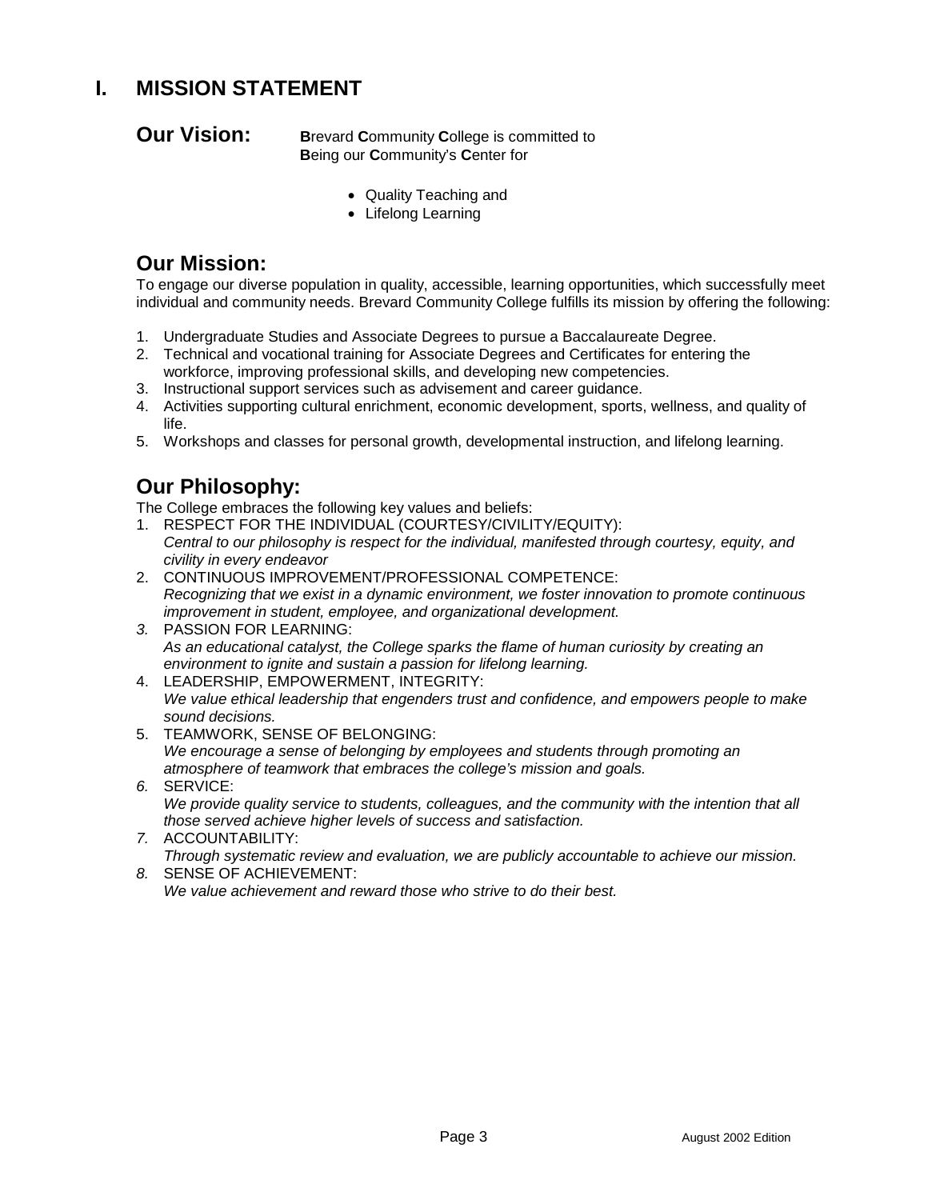## **I. MISSION STATEMENT**

**Our Vision:** Brevard **Community College is committed to B**eing our **C**ommunity's **C**enter for

- Quality Teaching and
- Lifelong Learning

## **Our Mission:**

To engage our diverse population in quality, accessible, learning opportunities, which successfully meet individual and community needs. Brevard Community College fulfills its mission by offering the following:

- 1. Undergraduate Studies and Associate Degrees to pursue a Baccalaureate Degree.
- 2. Technical and vocational training for Associate Degrees and Certificates for entering the workforce, improving professional skills, and developing new competencies.
- 3. Instructional support services such as advisement and career guidance.
- 4. Activities supporting cultural enrichment, economic development, sports, wellness, and quality of life.
- 5. Workshops and classes for personal growth, developmental instruction, and lifelong learning.

## **Our Philosophy:**

The College embraces the following key values and beliefs:

- 1. RESPECT FOR THE INDIVIDUAL (COURTESY/CIVILITY/EQUITY): *Central to our philosophy is respect for the individual, manifested through courtesy, equity, and civility in every endeavor*
- 2. CONTINUOUS IMPROVEMENT/PROFESSIONAL COMPETENCE: *Recognizing that we exist in a dynamic environment, we foster innovation to promote continuous improvement in student, employee, and organizational development.*
- *3.* PASSION FOR LEARNING: *As an educational catalyst, the College sparks the flame of human curiosity by creating an environment to ignite and sustain a passion for lifelong learning.*
- 4. LEADERSHIP, EMPOWERMENT, INTEGRITY: *We value ethical leadership that engenders trust and confidence, and empowers people to make sound decisions.*
- 5. TEAMWORK, SENSE OF BELONGING: *We encourage a sense of belonging by employees and students through promoting an atmosphere of teamwork that embraces the college's mission and goals.*
- *6.* SERVICE: *We provide quality service to students, colleagues, and the community with the intention that all those served achieve higher levels of success and satisfaction.*
- *7.* ACCOUNTABILITY: *Through systematic review and evaluation, we are publicly accountable to achieve our mission.*
- *8.* SENSE OF ACHIEVEMENT: *We value achievement and reward those who strive to do their best.*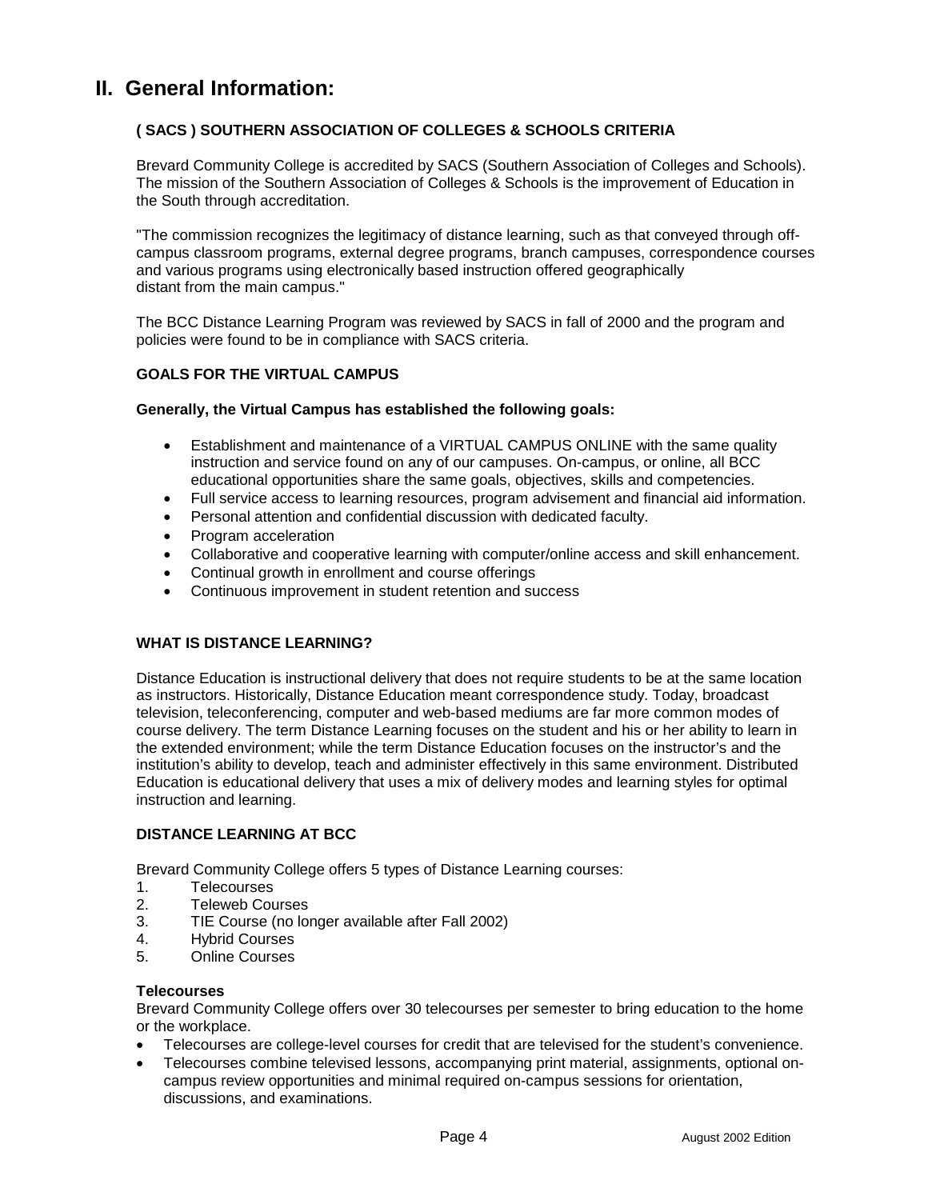## **II. General Information:**

## **( SACS ) SOUTHERN ASSOCIATION OF COLLEGES & SCHOOLS CRITERIA**

Brevard Community College is accredited by SACS (Southern Association of Colleges and Schools). The mission of the Southern Association of Colleges & Schools is the improvement of Education in the South through accreditation.

"The commission recognizes the legitimacy of distance learning, such as that conveyed through offcampus classroom programs, external degree programs, branch campuses, correspondence courses and various programs using electronically based instruction offered geographically distant from the main campus."

The BCC Distance Learning Program was reviewed by SACS in fall of 2000 and the program and policies were found to be in compliance with SACS criteria.

## **GOALS FOR THE VIRTUAL CAMPUS**

## **Generally, the Virtual Campus has established the following goals:**

- $\bullet$  Establishment and maintenance of a VIRTUAL CAMPUS ONLINE with the same quality instruction and service found on any of our campuses. On-campus, or online, all BCC educational opportunities share the same goals, objectives, skills and competencies.
- Full service access to learning resources, program advisement and financial aid information.
- -Personal attention and confidential discussion with dedicated faculty.
- Program acceleration
- Collaborative and cooperative learning with computer/online access and skill enhancement.
- Continual growth in enrollment and course offerings
- Continuous improvement in student retention and success

## **WHAT IS DISTANCE LEARNING?**

Distance Education is instructional delivery that does not require students to be at the same location as instructors. Historically, Distance Education meant correspondence study. Today, broadcast television, teleconferencing, computer and web-based mediums are far more common modes of course delivery. The term Distance Learning focuses on the student and his or her ability to learn in the extended environment; while the term Distance Education focuses on the instructor's and the institution's ability to develop, teach and administer effectively in this same environment. Distributed Education is educational delivery that uses a mix of delivery modes and learning styles for optimal instruction and learning.

## **DISTANCE LEARNING AT BCC**

Brevard Community College offers 5 types of Distance Learning courses:

- 1. Telecourses
- 2. Teleweb Courses
- 3. TIE Course (no longer available after Fall 2002)
- 4. Hybrid Courses
- 5. Online Courses

## **Telecourses**

Brevard Community College offers over 30 telecourses per semester to bring education to the home or the workplace.

- -Telecourses are college-level courses for credit that are televised for the student's convenience.
- $\bullet$  Telecourses combine televised lessons, accompanying print material, assignments, optional oncampus review opportunities and minimal required on-campus sessions for orientation, discussions, and examinations.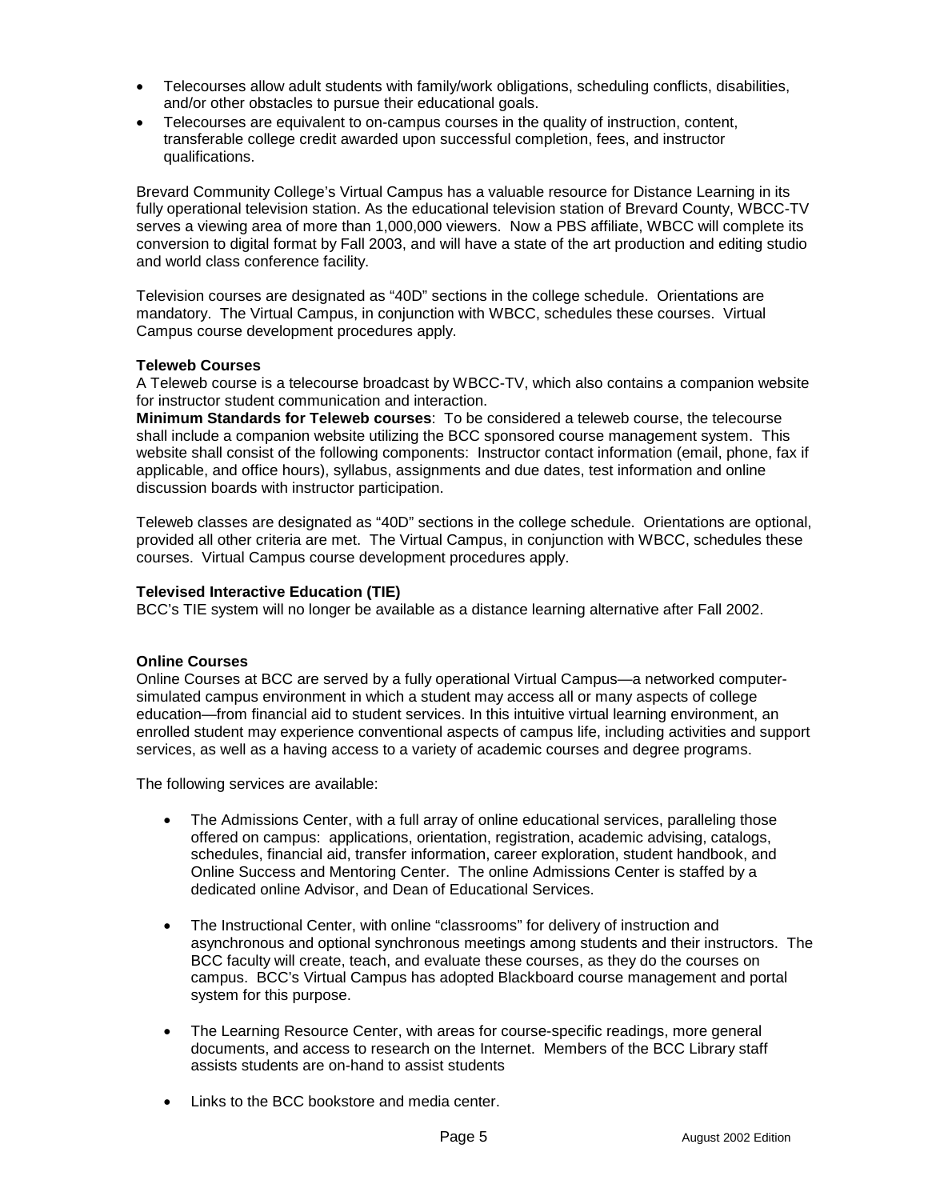- Telecourses allow adult students with family/work obligations, scheduling conflicts, disabilities, and/or other obstacles to pursue their educational goals.
- $\bullet$  Telecourses are equivalent to on-campus courses in the quality of instruction, content, transferable college credit awarded upon successful completion, fees, and instructor qualifications.

Brevard Community College's Virtual Campus has a valuable resource for Distance Learning in its fully operational television station. As the educational television station of Brevard County, WBCC-TV serves a viewing area of more than 1,000,000 viewers. Now a PBS affiliate, WBCC will complete its conversion to digital format by Fall 2003, and will have a state of the art production and editing studio and world class conference facility.

Television courses are designated as "40D" sections in the college schedule. Orientations are mandatory. The Virtual Campus, in conjunction with WBCC, schedules these courses. Virtual Campus course development procedures apply.

## **Teleweb Courses**

A Teleweb course is a telecourse broadcast by WBCC-TV, which also contains a companion website for instructor student communication and interaction.

**Minimum Standards for Teleweb courses**: To be considered a teleweb course, the telecourse shall include a companion website utilizing the BCC sponsored course management system. This website shall consist of the following components: Instructor contact information (email, phone, fax if applicable, and office hours), syllabus, assignments and due dates, test information and online discussion boards with instructor participation.

Teleweb classes are designated as "40D" sections in the college schedule. Orientations are optional, provided all other criteria are met. The Virtual Campus, in conjunction with WBCC, schedules these courses. Virtual Campus course development procedures apply.

## **Televised Interactive Education (TIE)**

BCC's TIE system will no longer be available as a distance learning alternative after Fall 2002.

## **Online Courses**

Online Courses at BCC are served by a fully operational Virtual Campus—a networked computersimulated campus environment in which a student may access all or many aspects of college education—from financial aid to student services. In this intuitive virtual learning environment, an enrolled student may experience conventional aspects of campus life, including activities and support services, as well as a having access to a variety of academic courses and degree programs.

The following services are available:

- The Admissions Center, with a full array of online educational services, paralleling those offered on campus: applications, orientation, registration, academic advising, catalogs, schedules, financial aid, transfer information, career exploration, student handbook, and Online Success and Mentoring Center. The online Admissions Center is staffed by a dedicated online Advisor, and Dean of Educational Services.
- - The Instructional Center, with online "classrooms" for delivery of instruction and asynchronous and optional synchronous meetings among students and their instructors. The BCC faculty will create, teach, and evaluate these courses, as they do the courses on campus. BCC's Virtual Campus has adopted Blackboard course management and portal system for this purpose.
- The Learning Resource Center, with areas for course-specific readings, more general documents, and access to research on the Internet. Members of the BCC Library staff assists students are on-hand to assist students
- Links to the BCC bookstore and media center.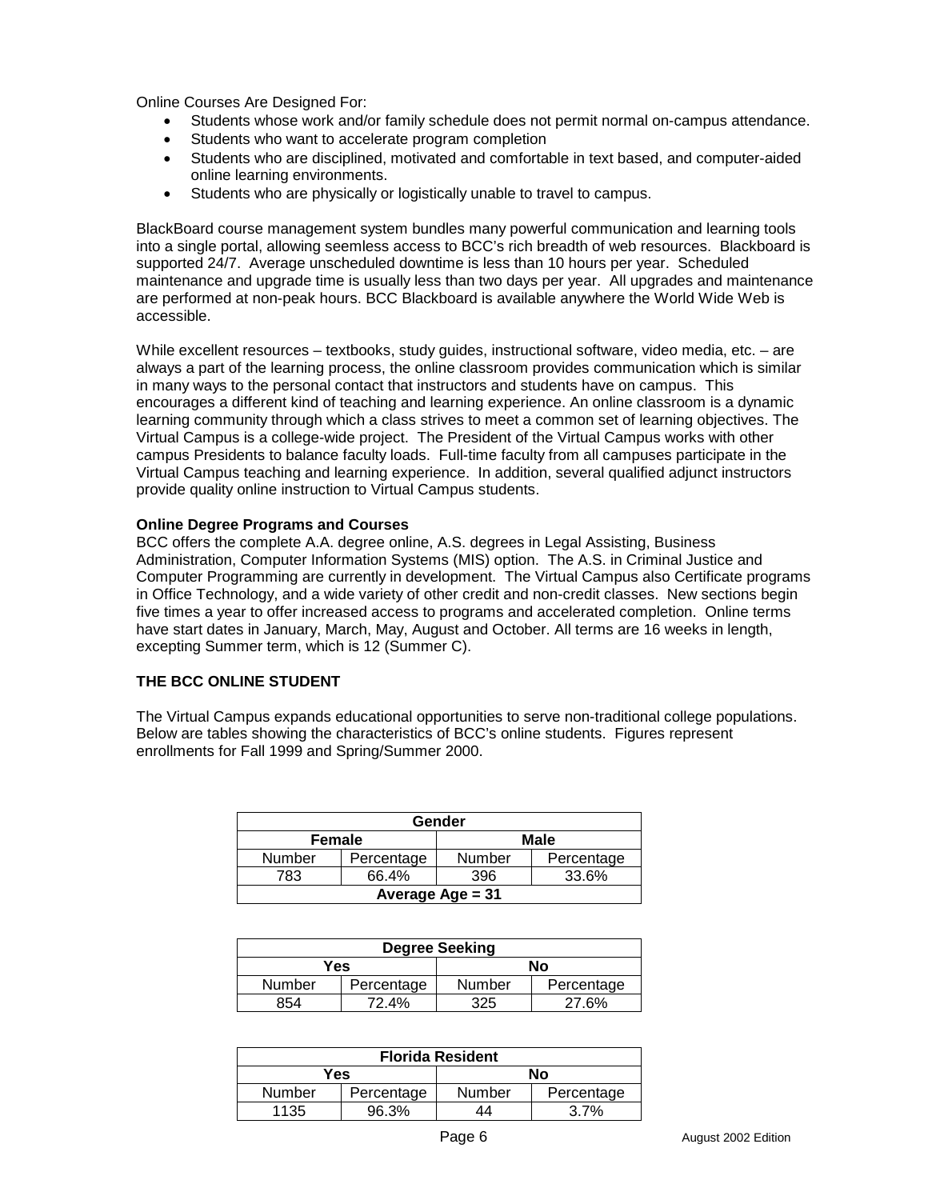Online Courses Are Designed For:

- $\bullet$ Students whose work and/or family schedule does not permit normal on-campus attendance.
- -Students who want to accelerate program completion
- $\bullet$  Students who are disciplined, motivated and comfortable in text based, and computer-aided online learning environments.
- $\bullet$ Students who are physically or logistically unable to travel to campus.

BlackBoard course management system bundles many powerful communication and learning tools into a single portal, allowing seemless access to BCC's rich breadth of web resources. Blackboard is supported 24/7. Average unscheduled downtime is less than 10 hours per year. Scheduled maintenance and upgrade time is usually less than two days per year. All upgrades and maintenance are performed at non-peak hours. BCC Blackboard is available anywhere the World Wide Web is accessible.

While excellent resources – textbooks, study guides, instructional software, video media, etc. – are always a part of the learning process, the online classroom provides communication which is similar in many ways to the personal contact that instructors and students have on campus. This encourages a different kind of teaching and learning experience. An online classroom is a dynamic learning community through which a class strives to meet a common set of learning objectives. The Virtual Campus is a college-wide project. The President of the Virtual Campus works with other campus Presidents to balance faculty loads. Full-time faculty from all campuses participate in the Virtual Campus teaching and learning experience. In addition, several qualified adjunct instructors provide quality online instruction to Virtual Campus students.

## **Online Degree Programs and Courses**

BCC offers the complete A.A. degree online, A.S. degrees in Legal Assisting, Business Administration, Computer Information Systems (MIS) option. The A.S. in Criminal Justice and Computer Programming are currently in development. The Virtual Campus also Certificate programs in Office Technology, and a wide variety of other credit and non-credit classes. New sections begin five times a year to offer increased access to programs and accelerated completion. Online terms have start dates in January, March, May, August and October. All terms are 16 weeks in length, excepting Summer term, which is 12 (Summer C).

## **THE BCC ONLINE STUDENT**

The Virtual Campus expands educational opportunities to serve non-traditional college populations. Below are tables showing the characteristics of BCC's online students. Figures represent enrollments for Fall 1999 and Spring/Summer 2000.

| Gender                |            |               |            |  |
|-----------------------|------------|---------------|------------|--|
| <b>Male</b><br>Female |            |               |            |  |
| Number                | Percentage | <b>Number</b> | Percentage |  |
| 783.                  | 66.4%      | 396           | 33.6%      |  |
| Average Age = 31      |            |               |            |  |

| <b>Degree Seeking</b> |            |               |            |  |
|-----------------------|------------|---------------|------------|--|
| Yes                   |            | Νo            |            |  |
| <b>Number</b>         | Percentage | <b>Number</b> | Percentage |  |
| 854                   | 72.4%      | 325           | 27.6%      |  |

| <b>Florida Resident</b> |            |        |            |  |
|-------------------------|------------|--------|------------|--|
| Yes                     |            | No     |            |  |
| Number                  | Percentage | Number | Percentage |  |
| 1135                    | 96.3%      | 14     | 3.7%       |  |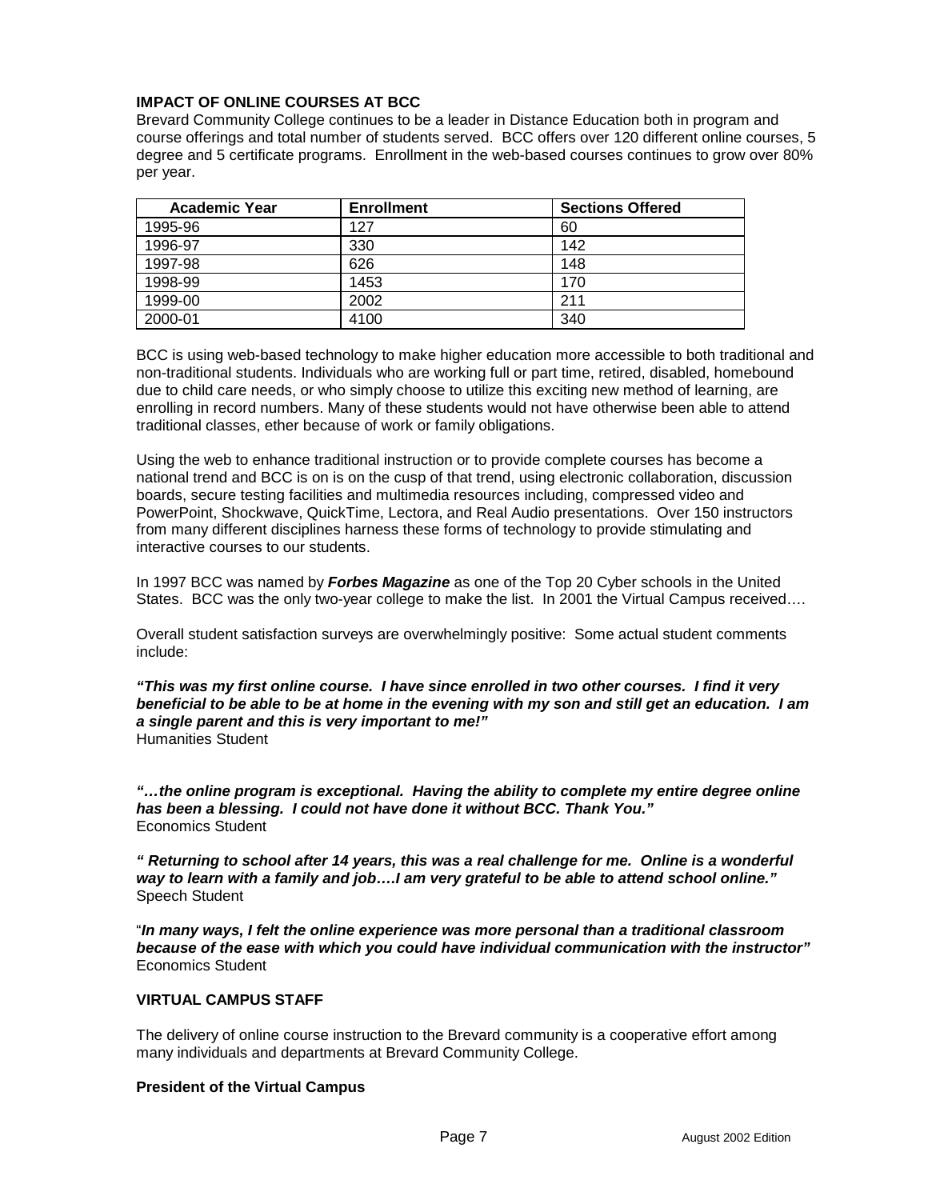## **IMPACT OF ONLINE COURSES AT BCC**

Brevard Community College continues to be a leader in Distance Education both in program and course offerings and total number of students served. BCC offers over 120 different online courses, 5 degree and 5 certificate programs. Enrollment in the web-based courses continues to grow over 80% per year.

| <b>Academic Year</b> | <b>Enrollment</b> | <b>Sections Offered</b> |
|----------------------|-------------------|-------------------------|
| 1995-96              | 127               | 60                      |
| 1996-97              | 330               | 142                     |
| 1997-98              | 626               | 148                     |
| 1998-99              | 1453              | 170                     |
| 1999-00              | 2002              | 211                     |
| 2000-01              | 4100              | 340                     |

BCC is using web-based technology to make higher education more accessible to both traditional and non-traditional students. Individuals who are working full or part time, retired, disabled, homebound due to child care needs, or who simply choose to utilize this exciting new method of learning, are enrolling in record numbers. Many of these students would not have otherwise been able to attend traditional classes, ether because of work or family obligations.

Using the web to enhance traditional instruction or to provide complete courses has become a national trend and BCC is on is on the cusp of that trend, using electronic collaboration, discussion boards, secure testing facilities and multimedia resources including, compressed video and PowerPoint, Shockwave, QuickTime, Lectora, and Real Audio presentations. Over 150 instructors from many different disciplines harness these forms of technology to provide stimulating and interactive courses to our students.

In 1997 BCC was named by *Forbes Magazine* as one of the Top 20 Cyber schools in the United States. BCC was the only two-year college to make the list. In 2001 the Virtual Campus received….

Overall student satisfaction surveys are overwhelmingly positive: Some actual student comments include:

*"This was my first online course. I have since enrolled in two other courses. I find it very beneficial to be able to be at home in the evening with my son and still get an education. I am a single parent and this is very important to me!"* Humanities Student

*"…the online program is exceptional. Having the ability to complete my entire degree online has been a blessing. I could not have done it without BCC. Thank You."* Economics Student

*" Returning to school after 14 years, this was a real challenge for me. Online is a wonderful way to learn with a family and job….I am very grateful to be able to attend school online."*  Speech Student

"*In many ways, I felt the online experience was more personal than a traditional classroom because of the ease with which you could have individual communication with the instructor"* Economics Student

## **VIRTUAL CAMPUS STAFF**

The delivery of online course instruction to the Brevard community is a cooperative effort among many individuals and departments at Brevard Community College.

## **President of the Virtual Campus**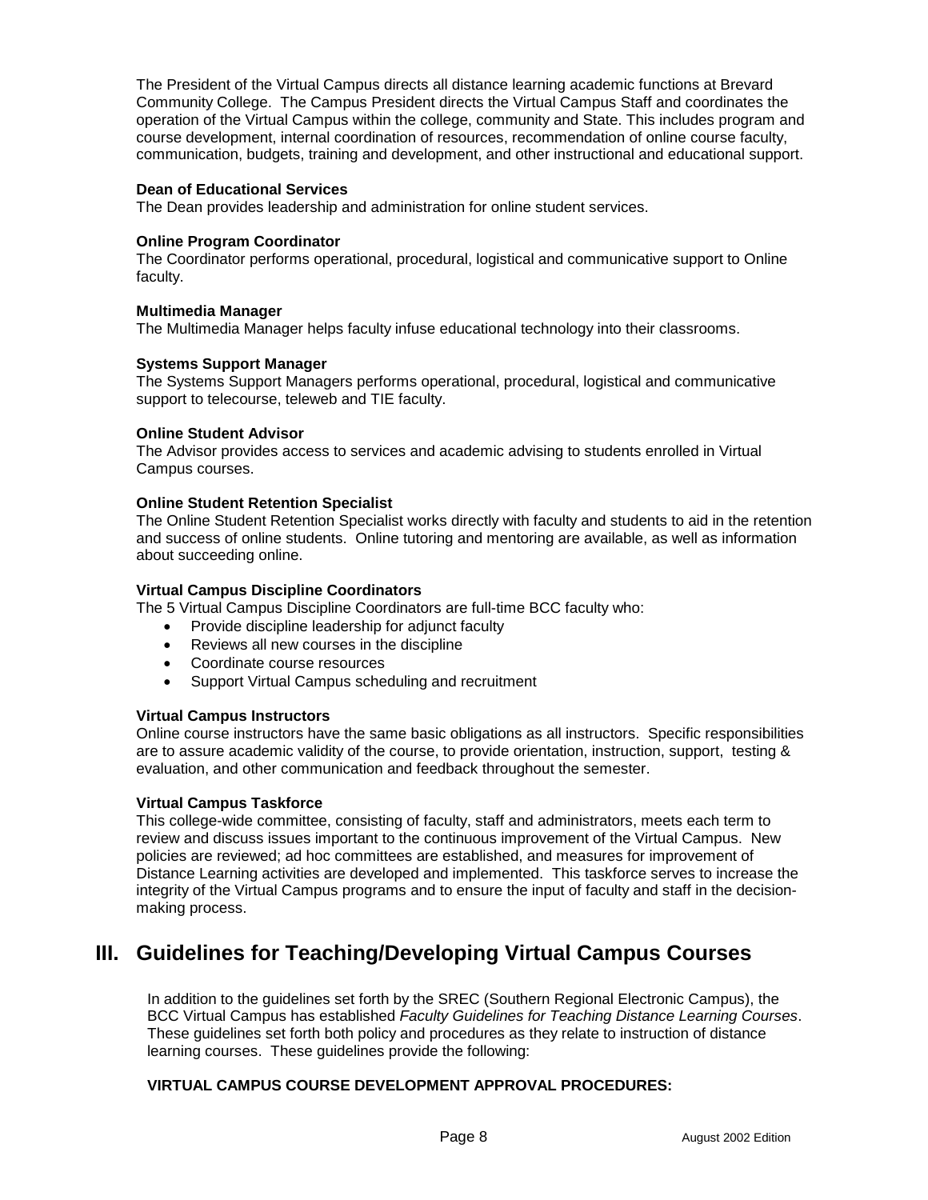The President of the Virtual Campus directs all distance learning academic functions at Brevard Community College. The Campus President directs the Virtual Campus Staff and coordinates the operation of the Virtual Campus within the college, community and State. This includes program and course development, internal coordination of resources, recommendation of online course faculty, communication, budgets, training and development, and other instructional and educational support.

## **Dean of Educational Services**

The Dean provides leadership and administration for online student services.

## **Online Program Coordinator**

The Coordinator performs operational, procedural, logistical and communicative support to Online faculty.

## **Multimedia Manager**

The Multimedia Manager helps faculty infuse educational technology into their classrooms.

## **Systems Support Manager**

The Systems Support Managers performs operational, procedural, logistical and communicative support to telecourse, teleweb and TIE faculty.

## **Online Student Advisor**

The Advisor provides access to services and academic advising to students enrolled in Virtual Campus courses.

## **Online Student Retention Specialist**

The Online Student Retention Specialist works directly with faculty and students to aid in the retention and success of online students. Online tutoring and mentoring are available, as well as information about succeeding online.

## **Virtual Campus Discipline Coordinators**

The 5 Virtual Campus Discipline Coordinators are full-time BCC faculty who:

- Provide discipline leadership for adjunct faculty
- Reviews all new courses in the discipline
- Coordinate course resources
- Support Virtual Campus scheduling and recruitment

## **Virtual Campus Instructors**

Online course instructors have the same basic obligations as all instructors. Specific responsibilities are to assure academic validity of the course, to provide orientation, instruction, support, testing & evaluation, and other communication and feedback throughout the semester.

## **Virtual Campus Taskforce**

This college-wide committee, consisting of faculty, staff and administrators, meets each term to review and discuss issues important to the continuous improvement of the Virtual Campus. New policies are reviewed; ad hoc committees are established, and measures for improvement of Distance Learning activities are developed and implemented. This taskforce serves to increase the integrity of the Virtual Campus programs and to ensure the input of faculty and staff in the decisionmaking process.

## **III. Guidelines for Teaching/Developing Virtual Campus Courses**

In addition to the guidelines set forth by the SREC (Southern Regional Electronic Campus), the BCC Virtual Campus has established *Faculty Guidelines for Teaching Distance Learning Courses*. These guidelines set forth both policy and procedures as they relate to instruction of distance learning courses. These guidelines provide the following:

## **VIRTUAL CAMPUS COURSE DEVELOPMENT APPROVAL PROCEDURES:**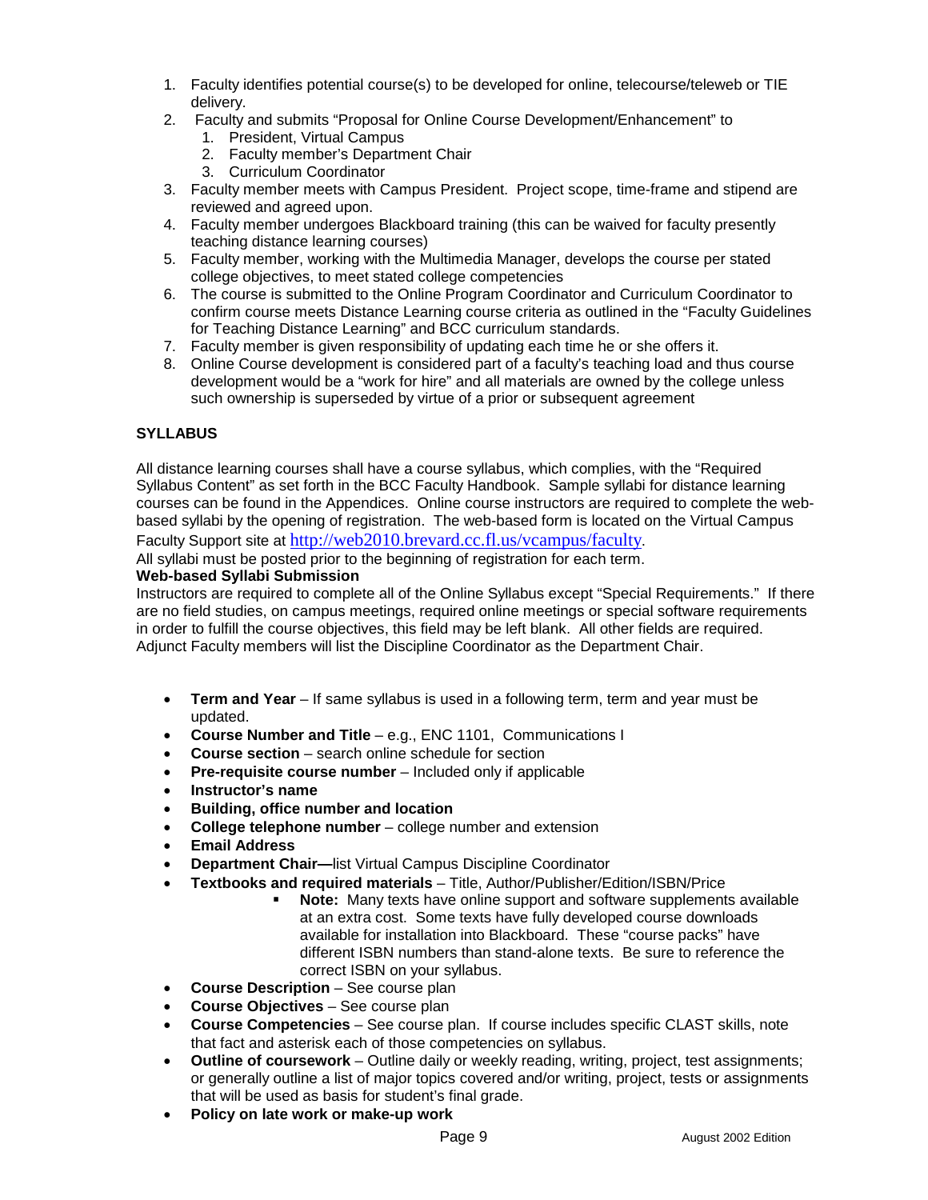- 1. Faculty identifies potential course(s) to be developed for online, telecourse/teleweb or TIE delivery.
- 2. Faculty and submits "Proposal for Online Course Development/Enhancement" to
	- 1. President, Virtual Campus
	- 2. Faculty member's Department Chair
	- 3. Curriculum Coordinator
- 3. Faculty member meets with Campus President. Project scope, time-frame and stipend are reviewed and agreed upon.
- 4. Faculty member undergoes Blackboard training (this can be waived for faculty presently teaching distance learning courses)
- 5. Faculty member, working with the Multimedia Manager, develops the course per stated college objectives, to meet stated college competencies
- 6. The course is submitted to the Online Program Coordinator and Curriculum Coordinator to confirm course meets Distance Learning course criteria as outlined in the "Faculty Guidelines for Teaching Distance Learning" and BCC curriculum standards.
- 7. Faculty member is given responsibility of updating each time he or she offers it.
- 8. Online Course development is considered part of a faculty's teaching load and thus course development would be a "work for hire" and all materials are owned by the college unless such ownership is superseded by virtue of a prior or subsequent agreement

## **SYLLABUS**

All distance learning courses shall have a course syllabus, which complies, with the "Required Syllabus Content" as set forth in the BCC Faculty Handbook. Sample syllabi for distance learning courses can be found in the Appendices. Online course instructors are required to complete the webbased syllabi by the opening of registration. The web-based form is located on the Virtual Campus Faculty Support site at <http://web2010.brevard.cc.fl.us/vcampus/faculty>.

All syllabi must be posted prior to the beginning of registration for each term.

## **Web-based Syllabi Submission**

Instructors are required to complete all of the Online Syllabus except "Special Requirements." If there are no field studies, on campus meetings, required online meetings or special software requirements in order to fulfill the course objectives, this field may be left blank. All other fields are required. Adjunct Faculty members will list the Discipline Coordinator as the Department Chair.

- **Term and Year** If same syllabus is used in a following term, term and year must be updated.
- **Course Number and Title** e.g., ENC 1101, Communications I
- **Course section**  search online schedule for section
- -**Pre-requisite course number** – Included only if applicable
- -**Instructor's name**
- $\bullet$ **Building, office number and location**
- $\bullet$ **College telephone number** – college number and extension
- -**Email Address**
- -**Department Chair—**list Virtual Campus Discipline Coordinator
- - **Textbooks and required materials** – Title, Author/Publisher/Edition/ISBN/Price
	- **Note:** Many texts have online support and software supplements available at an extra cost. Some texts have fully developed course downloads available for installation into Blackboard. These "course packs" have different ISBN numbers than stand-alone texts. Be sure to reference the correct ISBN on your syllabus.
- **Course Description** See course plan
- **Course Objectives** See course plan
- **Course Competencies** See course plan. If course includes specific CLAST skills, note that fact and asterisk each of those competencies on syllabus.
- **Outline of coursework** Outline daily or weekly reading, writing, project, test assignments; or generally outline a list of major topics covered and/or writing, project, tests or assignments that will be used as basis for student's final grade.
- $\bullet$ **Policy on late work or make-up work**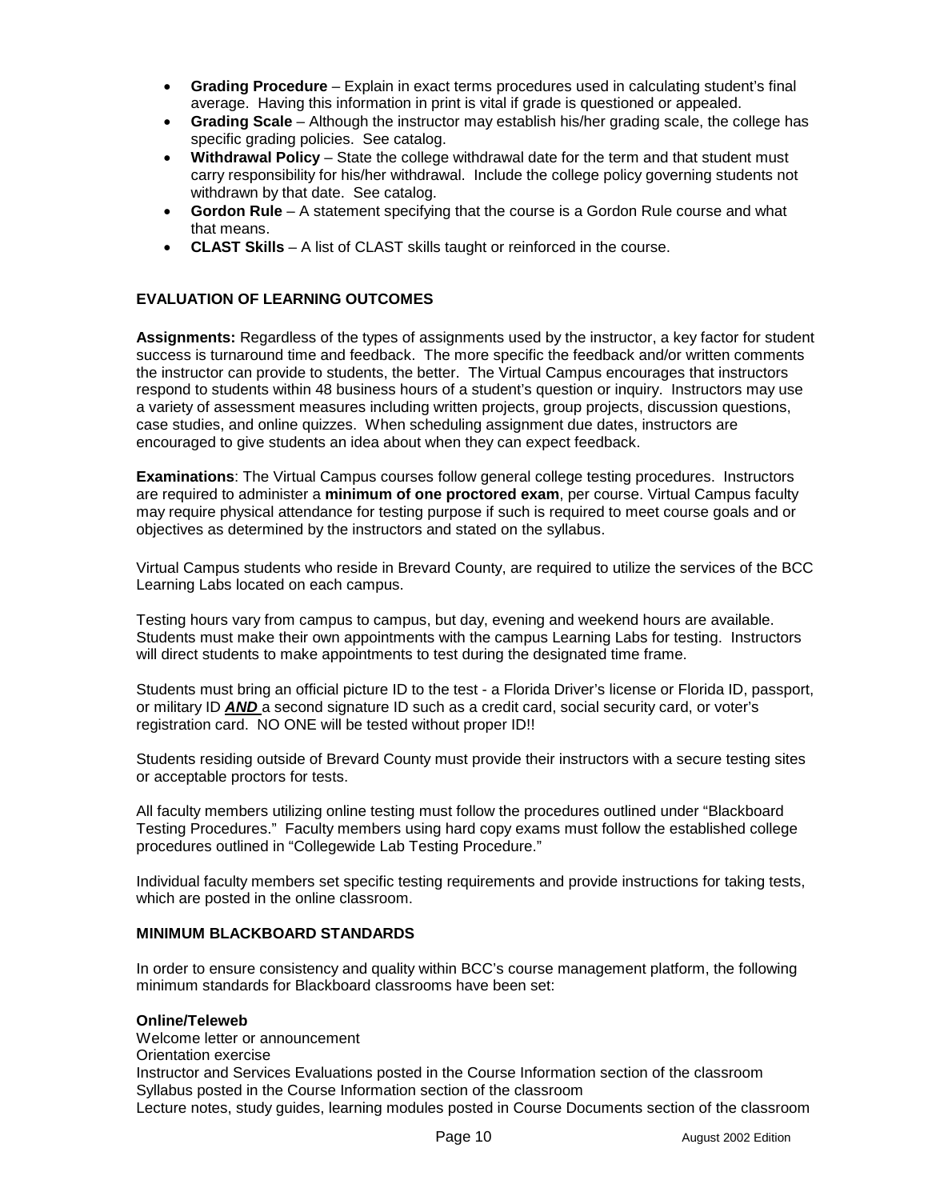- **Grading Procedure** Explain in exact terms procedures used in calculating student's final average. Having this information in print is vital if grade is questioned or appealed.
- **Grading Scale** Although the instructor may establish his/her grading scale, the college has specific grading policies. See catalog.
- - **Withdrawal Policy** – State the college withdrawal date for the term and that student must carry responsibility for his/her withdrawal. Include the college policy governing students not withdrawn by that date. See catalog.
- - **Gordon Rule** – A statement specifying that the course is a Gordon Rule course and what that means.
- **CLAST Skills** A list of CLAST skills taught or reinforced in the course.

## **EVALUATION OF LEARNING OUTCOMES**

**Assignments:** Regardless of the types of assignments used by the instructor, a key factor for student success is turnaround time and feedback. The more specific the feedback and/or written comments the instructor can provide to students, the better. The Virtual Campus encourages that instructors respond to students within 48 business hours of a student's question or inquiry. Instructors may use a variety of assessment measures including written projects, group projects, discussion questions, case studies, and online quizzes. When scheduling assignment due dates, instructors are encouraged to give students an idea about when they can expect feedback.

**Examinations**: The Virtual Campus courses follow general college testing procedures. Instructors are required to administer a **minimum of one proctored exam**, per course. Virtual Campus faculty may require physical attendance for testing purpose if such is required to meet course goals and or objectives as determined by the instructors and stated on the syllabus.

Virtual Campus students who reside in Brevard County, are required to utilize the services of the BCC Learning Labs located on each campus.

Testing hours vary from campus to campus, but day, evening and weekend hours are available. Students must make their own appointments with the campus Learning Labs for testing. Instructors will direct students to make appointments to test during the designated time frame.

Students must bring an official picture ID to the test - a Florida Driver's license or Florida ID, passport, or military ID *AND* a second signature ID such as a credit card, social security card, or voter's registration card. NO ONE will be tested without proper ID!!

Students residing outside of Brevard County must provide their instructors with a secure testing sites or acceptable proctors for tests.

All faculty members utilizing online testing must follow the procedures outlined under "Blackboard Testing Procedures." Faculty members using hard copy exams must follow the established college procedures outlined in "Collegewide Lab Testing Procedure."

Individual faculty members set specific testing requirements and provide instructions for taking tests, which are posted in the online classroom.

## **MINIMUM BLACKBOARD STANDARDS**

In order to ensure consistency and quality within BCC's course management platform, the following minimum standards for Blackboard classrooms have been set:

#### **Online/Teleweb**

Welcome letter or announcement Orientation exercise Instructor and Services Evaluations posted in the Course Information section of the classroom Syllabus posted in the Course Information section of the classroom Lecture notes, study guides, learning modules posted in Course Documents section of the classroom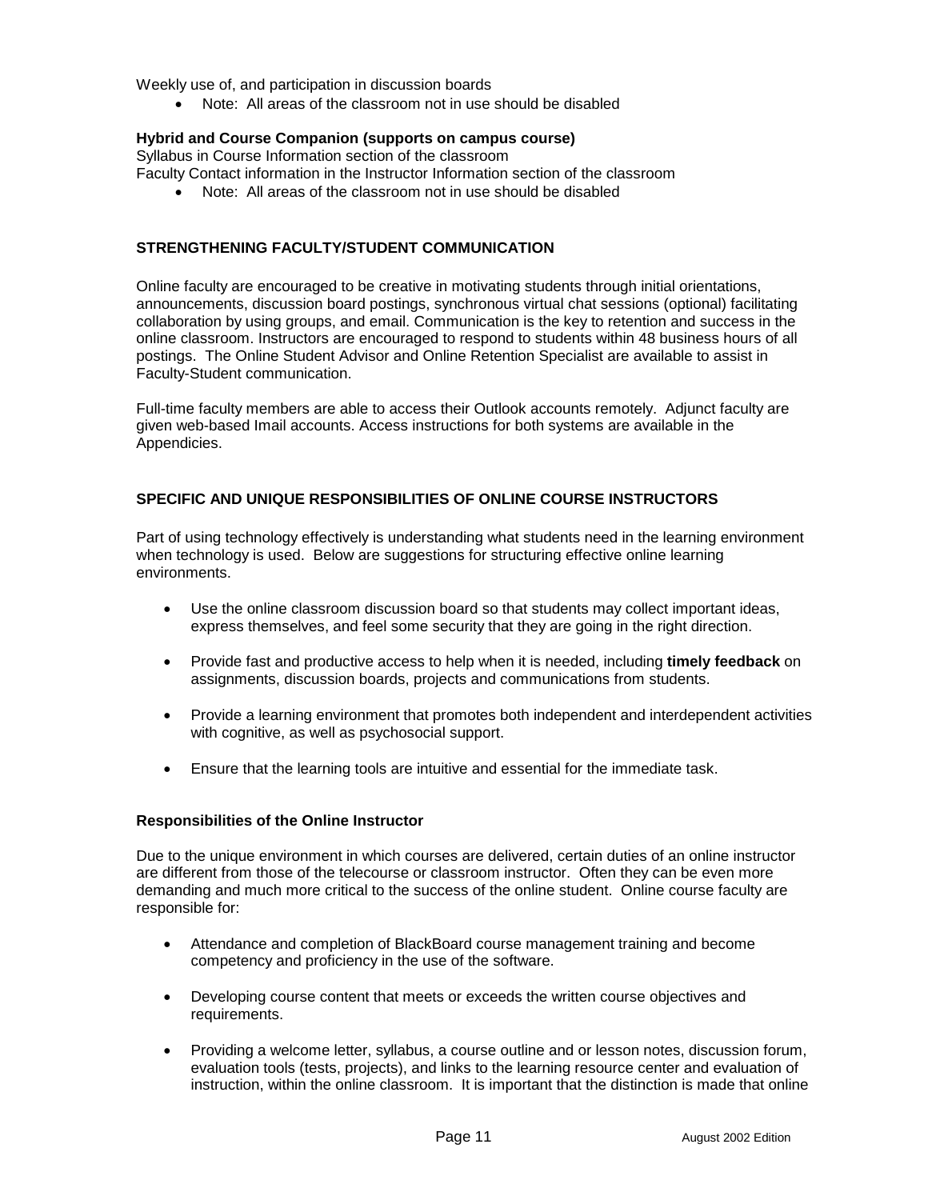Weekly use of, and participation in discussion boards

- Note: All areas of the classroom not in use should be disabled

#### **Hybrid and Course Companion (supports on campus course)**

Syllabus in Course Information section of the classroom

- Faculty Contact information in the Instructor Information section of the classroom
	- Note: All areas of the classroom not in use should be disabled

#### **STRENGTHENING FACULTY/STUDENT COMMUNICATION**

Online faculty are encouraged to be creative in motivating students through initial orientations, announcements, discussion board postings, synchronous virtual chat sessions (optional) facilitating collaboration by using groups, and email. Communication is the key to retention and success in the online classroom. Instructors are encouraged to respond to students within 48 business hours of all postings. The Online Student Advisor and Online Retention Specialist are available to assist in Faculty-Student communication.

Full-time faculty members are able to access their Outlook accounts remotely. Adjunct faculty are given web-based Imail accounts. Access instructions for both systems are available in the Appendicies.

## **SPECIFIC AND UNIQUE RESPONSIBILITIES OF ONLINE COURSE INSTRUCTORS**

Part of using technology effectively is understanding what students need in the learning environment when technology is used. Below are suggestions for structuring effective online learning environments.

- Use the online classroom discussion board so that students may collect important ideas, express themselves, and feel some security that they are going in the right direction.
- Provide fast and productive access to help when it is needed, including **timely feedback** on assignments, discussion boards, projects and communications from students.
- Provide a learning environment that promotes both independent and interdependent activities with cognitive, as well as psychosocial support.
- Ensure that the learning tools are intuitive and essential for the immediate task.

#### **Responsibilities of the Online Instructor**

Due to the unique environment in which courses are delivered, certain duties of an online instructor are different from those of the telecourse or classroom instructor. Often they can be even more demanding and much more critical to the success of the online student. Online course faculty are responsible for:

- Attendance and completion of BlackBoard course management training and become competency and proficiency in the use of the software.
- Developing course content that meets or exceeds the written course objectives and requirements.
- Providing a welcome letter, syllabus, a course outline and or lesson notes, discussion forum, evaluation tools (tests, projects), and links to the learning resource center and evaluation of instruction, within the online classroom. It is important that the distinction is made that online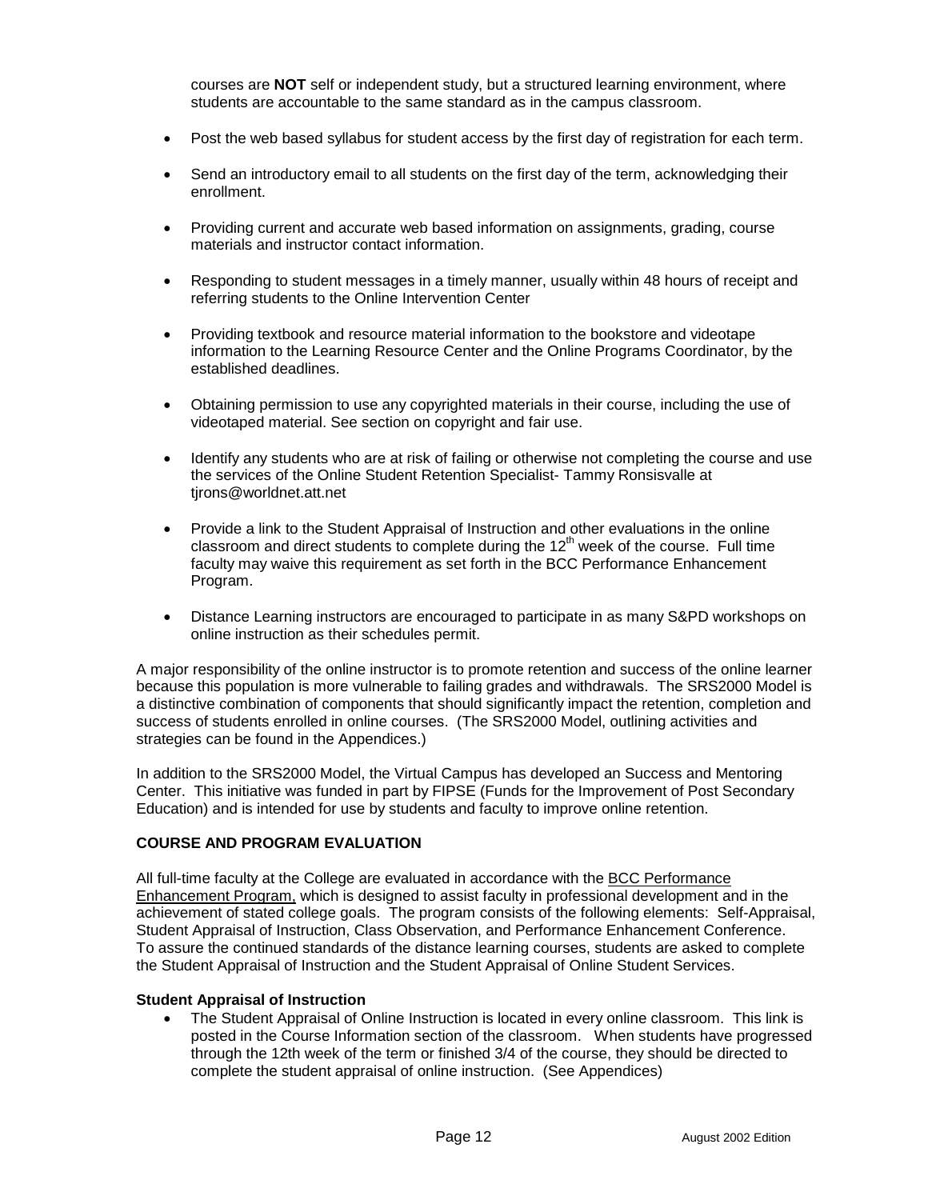courses are **NOT** self or independent study, but a structured learning environment, where students are accountable to the same standard as in the campus classroom.

- Post the web based syllabus for student access by the first day of registration for each term.
- Send an introductory email to all students on the first day of the term, acknowledging their enrollment.
- Providing current and accurate web based information on assignments, grading, course materials and instructor contact information.
- $\bullet$  Responding to student messages in a timely manner, usually within 48 hours of receipt and referring students to the Online Intervention Center
- - Providing textbook and resource material information to the bookstore and videotape information to the Learning Resource Center and the Online Programs Coordinator, by the established deadlines.
- Obtaining permission to use any copyrighted materials in their course, including the use of videotaped material. See section on copyright and fair use.
- Identify any students who are at risk of failing or otherwise not completing the course and use the services of the Online Student Retention Specialist- Tammy Ronsisvalle at tjrons@worldnet.att.net
- - Provide a link to the Student Appraisal of Instruction and other evaluations in the online classroom and direct students to complete during the  $12<sup>th</sup>$  week of the course. Full time faculty may waive this requirement as set forth in the BCC Performance Enhancement Program.
- Distance Learning instructors are encouraged to participate in as many S&PD workshops on online instruction as their schedules permit.

A major responsibility of the online instructor is to promote retention and success of the online learner because this population is more vulnerable to failing grades and withdrawals. The SRS2000 Model is a distinctive combination of components that should significantly impact the retention, completion and success of students enrolled in online courses. (The SRS2000 Model, outlining activities and strategies can be found in the Appendices.)

In addition to the SRS2000 Model, the Virtual Campus has developed an Success and Mentoring Center. This initiative was funded in part by FIPSE (Funds for the Improvement of Post Secondary Education) and is intended for use by students and faculty to improve online retention.

## **COURSE AND PROGRAM EVALUATION**

All full-time faculty at the College are evaluated in accordance with the BCC Performance Enhancement Program, which is designed to assist faculty in professional development and in the achievement of stated college goals. The program consists of the following elements: Self-Appraisal, Student Appraisal of Instruction, Class Observation, and Performance Enhancement Conference. To assure the continued standards of the distance learning courses, students are asked to complete the Student Appraisal of Instruction and the Student Appraisal of Online Student Services.

## **Student Appraisal of Instruction**

- The Student Appraisal of Online Instruction is located in every online classroom. This link is posted in the Course Information section of the classroom. When students have progressed through the 12th week of the term or finished 3/4 of the course, they should be directed to complete the student appraisal of online instruction. (See Appendices)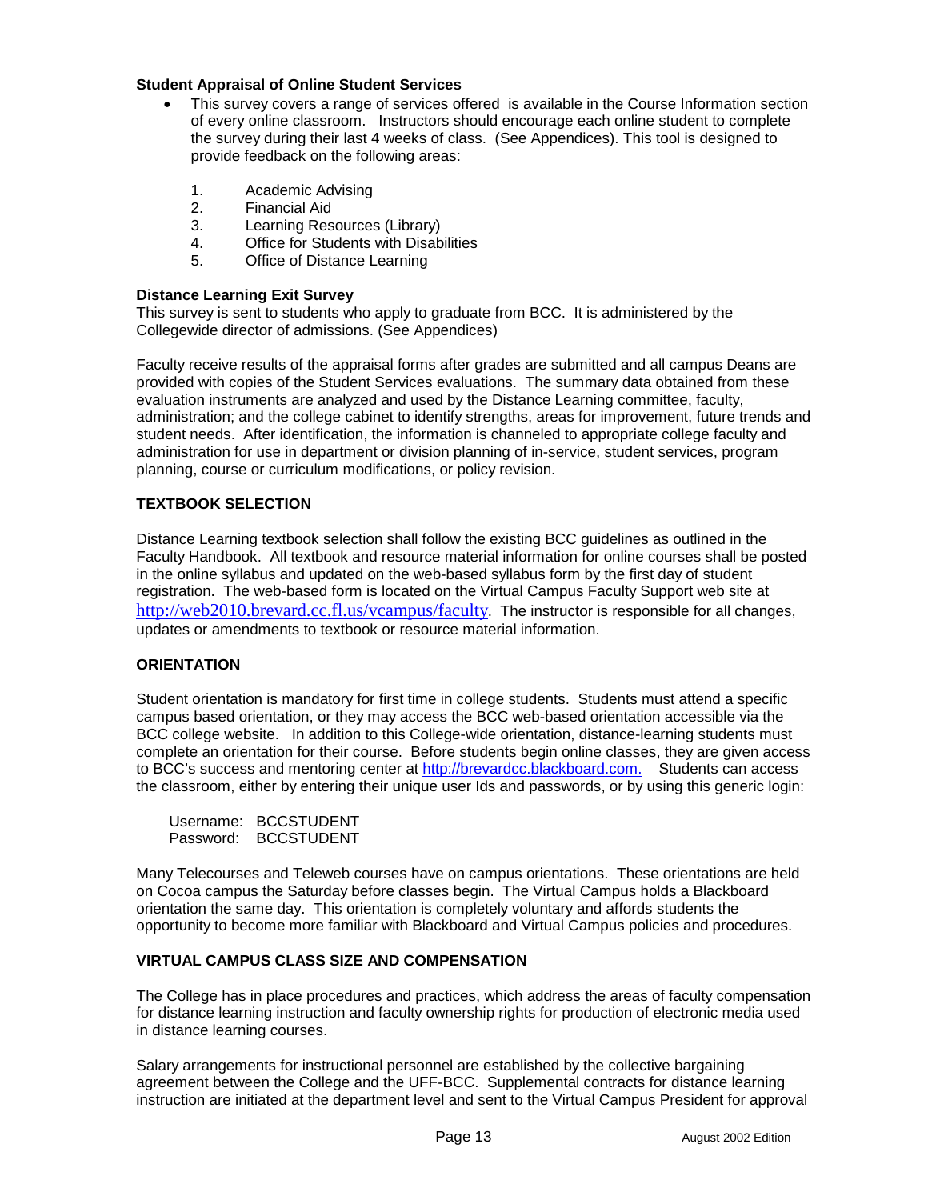## **Student Appraisal of Online Student Services**

- - This survey covers a range of services offered is available in the Course Information section of every online classroom. Instructors should encourage each online student to complete the survey during their last 4 weeks of class. (See Appendices). This tool is designed to provide feedback on the following areas:
	- 1. Academic Advising
	- 2. Financial Aid
	- 3. Learning Resources (Library)
	- 4. Office for Students with Disabilities
	- 5. Office of Distance Learning

## **Distance Learning Exit Survey**

This survey is sent to students who apply to graduate from BCC. It is administered by the Collegewide director of admissions. (See Appendices)

Faculty receive results of the appraisal forms after grades are submitted and all campus Deans are provided with copies of the Student Services evaluations. The summary data obtained from these evaluation instruments are analyzed and used by the Distance Learning committee, faculty, administration; and the college cabinet to identify strengths, areas for improvement, future trends and student needs. After identification, the information is channeled to appropriate college faculty and administration for use in department or division planning of in-service, student services, program planning, course or curriculum modifications, or policy revision.

## **TEXTBOOK SELECTION**

Distance Learning textbook selection shall follow the existing BCC guidelines as outlined in the Faculty Handbook. All textbook and resource material information for online courses shall be posted in the online syllabus and updated on the web-based syllabus form by the first day of student registration. The web-based form is located on the Virtual Campus Faculty Support web site at <http://web2010.brevard.cc.fl.us/vcampus/faculty>. The instructor is responsible for all changes, updates or amendments to textbook or resource material information.

## **ORIENTATION**

Student orientation is mandatory for first time in college students. Students must attend a specific campus based orientation, or they may access the BCC web-based orientation accessible via the BCC college website. In addition to this College-wide orientation, distance-learning students must complete an orientation for their course. Before students begin online classes, they are given access to BCC's success and mentoring center at [http://brevardcc.blackboard.com.](http://brevardcc.blackboard.com/) Students can access the classroom, either by entering their unique user Ids and passwords, or by using this generic login:

| Username: I | <b>BCCSTUDENT</b> |
|-------------|-------------------|
| Password:   | <b>BCCSTUDENT</b> |

Many Telecourses and Teleweb courses have on campus orientations. These orientations are held on Cocoa campus the Saturday before classes begin. The Virtual Campus holds a Blackboard orientation the same day. This orientation is completely voluntary and affords students the opportunity to become more familiar with Blackboard and Virtual Campus policies and procedures.

## **VIRTUAL CAMPUS CLASS SIZE AND COMPENSATION**

The College has in place procedures and practices, which address the areas of faculty compensation for distance learning instruction and faculty ownership rights for production of electronic media used in distance learning courses.

Salary arrangements for instructional personnel are established by the collective bargaining agreement between the College and the UFF-BCC. Supplemental contracts for distance learning instruction are initiated at the department level and sent to the Virtual Campus President for approval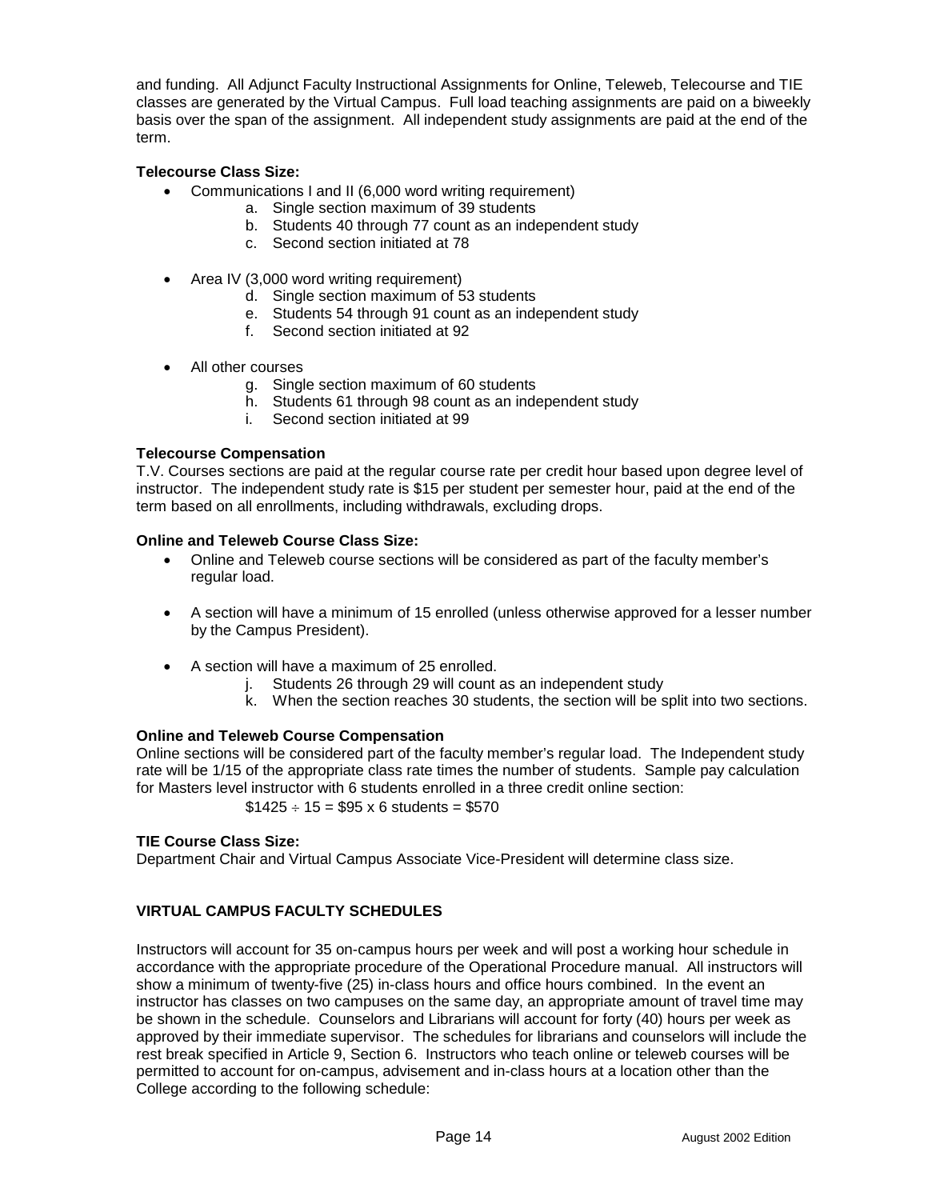and funding. All Adjunct Faculty Instructional Assignments for Online, Teleweb, Telecourse and TIE classes are generated by the Virtual Campus. Full load teaching assignments are paid on a biweekly basis over the span of the assignment. All independent study assignments are paid at the end of the term.

## **Telecourse Class Size:**

- Communications I and II (6,000 word writing requirement)
	- a. Single section maximum of 39 students
	- b. Students 40 through 77 count as an independent study
	- c. Second section initiated at 78
- Area IV (3,000 word writing requirement)
	- d. Single section maximum of 53 students
	- e. Students 54 through 91 count as an independent study
	- f. Second section initiated at 92
- - All other courses
	- g. Single section maximum of 60 students
	- h. Students 61 through 98 count as an independent study
	- i. Second section initiated at 99

## **Telecourse Compensation**

T.V. Courses sections are paid at the regular course rate per credit hour based upon degree level of instructor. The independent study rate is \$15 per student per semester hour, paid at the end of the term based on all enrollments, including withdrawals, excluding drops.

## **Online and Teleweb Course Class Size:**

- Online and Teleweb course sections will be considered as part of the faculty member's regular load.
- A section will have a minimum of 15 enrolled (unless otherwise approved for a lesser number by the Campus President).
- A section will have a maximum of 25 enrolled.
	- j. Students 26 through 29 will count as an independent study
	- k. When the section reaches 30 students, the section will be split into two sections.

## **Online and Teleweb Course Compensation**

Online sections will be considered part of the faculty member's regular load. The Independent study rate will be 1/15 of the appropriate class rate times the number of students. Sample pay calculation for Masters level instructor with 6 students enrolled in a three credit online section:

 $$1425 \div 15 = $95 \times 6$  students = \$570

## **TIE Course Class Size:**

Department Chair and Virtual Campus Associate Vice-President will determine class size.

## **VIRTUAL CAMPUS FACULTY SCHEDULES**

Instructors will account for 35 on-campus hours per week and will post a working hour schedule in accordance with the appropriate procedure of the Operational Procedure manual. All instructors will show a minimum of twenty-five (25) in-class hours and office hours combined. In the event an instructor has classes on two campuses on the same day, an appropriate amount of travel time may be shown in the schedule. Counselors and Librarians will account for forty (40) hours per week as approved by their immediate supervisor. The schedules for librarians and counselors will include the rest break specified in Article 9, Section 6. Instructors who teach online or teleweb courses will be permitted to account for on-campus, advisement and in-class hours at a location other than the College according to the following schedule: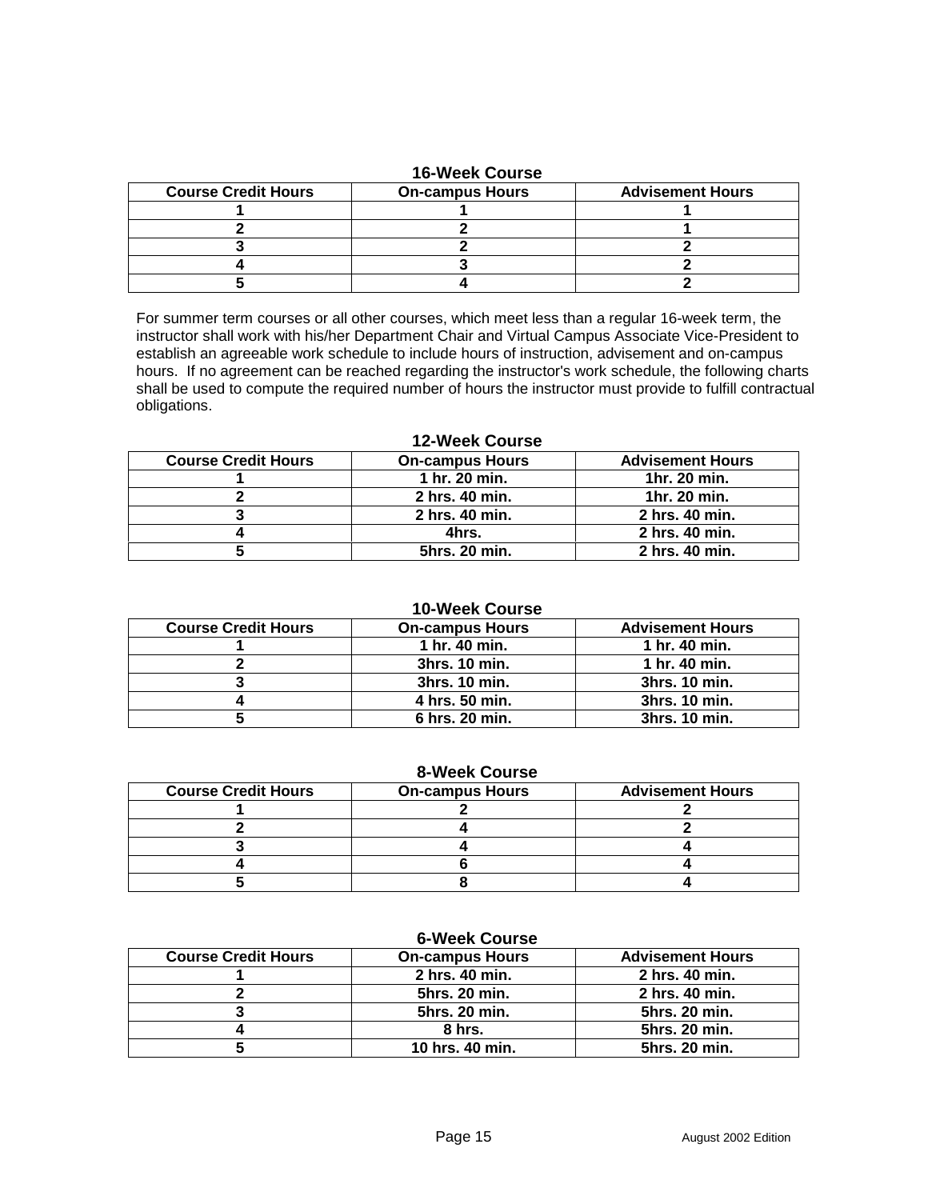## **16-Week Course**

| <b>Course Credit Hours</b> | <b>On-campus Hours</b> | <b>Advisement Hours</b> |
|----------------------------|------------------------|-------------------------|
|                            |                        |                         |
|                            |                        |                         |
|                            |                        |                         |
|                            |                        |                         |
|                            |                        |                         |

For summer term courses or all other courses, which meet less than a regular 16-week term, the instructor shall work with his/her Department Chair and Virtual Campus Associate Vice-President to establish an agreeable work schedule to include hours of instruction, advisement and on-campus hours. If no agreement can be reached regarding the instructor's work schedule, the following charts shall be used to compute the required number of hours the instructor must provide to fulfill contractual obligations.

**12-Week Course** 

| IL-MEL AUUI SE             |                        |                         |  |
|----------------------------|------------------------|-------------------------|--|
| <b>Course Credit Hours</b> | <b>On-campus Hours</b> | <b>Advisement Hours</b> |  |
|                            | 1 hr. 20 min.          | 1hr. 20 min.            |  |
|                            | 2 hrs. 40 min.         | 1hr. 20 min.            |  |
|                            | 2 hrs. 40 min.         | 2 hrs. 40 min.          |  |
|                            | 4hrs.                  | 2 hrs. 40 min.          |  |
|                            | 5hrs. 20 min.          | 2 hrs. 40 min.          |  |

## **10-Week Course**

| <b>Course Credit Hours</b> | <b>On-campus Hours</b> | <b>Advisement Hours</b> |
|----------------------------|------------------------|-------------------------|
|                            | 1 hr. 40 min.          | 1 hr. 40 min.           |
|                            | 3hrs. 10 min.          | 1 hr. 40 min.           |
|                            | 3hrs. 10 min.          | 3hrs. 10 min.           |
|                            | 4 hrs. 50 min.         | 3hrs. 10 min.           |
|                            | 6 hrs. 20 min.         | 3hrs. 10 min.           |

|  | <b>8-Week Course</b> |
|--|----------------------|
|  |                      |

| <b>Course Credit Hours</b> | <b>On-campus Hours</b> | <b>Advisement Hours</b> |
|----------------------------|------------------------|-------------------------|
|                            |                        |                         |
|                            |                        |                         |
|                            |                        |                         |
|                            |                        |                         |
|                            |                        |                         |

## **6-Week Course**

| <b>Course Credit Hours</b> | <b>On-campus Hours</b> | <b>Advisement Hours</b> |
|----------------------------|------------------------|-------------------------|
|                            | 2 hrs. 40 min.         | 2 hrs. 40 min.          |
|                            | 5hrs. 20 min.          | 2 hrs. 40 min.          |
|                            | 5hrs. 20 min.          | 5hrs. 20 min.           |
|                            | 8 hrs.                 | 5hrs. 20 min.           |
|                            | 10 hrs. 40 min.        | 5hrs. 20 min.           |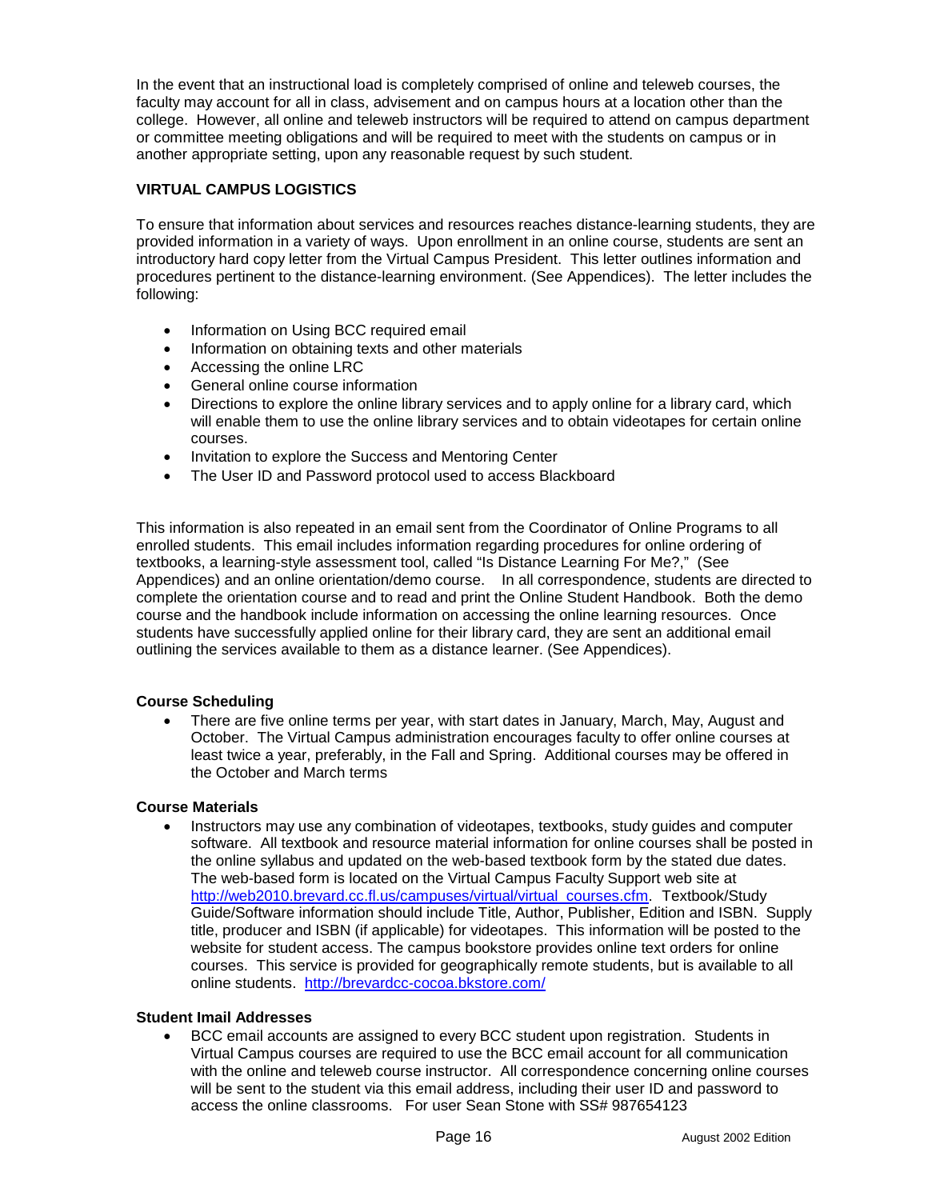In the event that an instructional load is completely comprised of online and teleweb courses, the faculty may account for all in class, advisement and on campus hours at a location other than the college. However, all online and teleweb instructors will be required to attend on campus department or committee meeting obligations and will be required to meet with the students on campus or in another appropriate setting, upon any reasonable request by such student.

## **VIRTUAL CAMPUS LOGISTICS**

To ensure that information about services and resources reaches distance-learning students, they are provided information in a variety of ways. Upon enrollment in an online course, students are sent an introductory hard copy letter from the Virtual Campus President. This letter outlines information and procedures pertinent to the distance-learning environment. (See Appendices). The letter includes the following:

- Information on Using BCC required email
- Information on obtaining texts and other materials
- Accessing the online LRC
- General online course information
- Directions to explore the online library services and to apply online for a library card, which will enable them to use the online library services and to obtain videotapes for certain online courses.
- Invitation to explore the Success and Mentoring Center
- -The User ID and Password protocol used to access Blackboard

This information is also repeated in an email sent from the Coordinator of Online Programs to all enrolled students. This email includes information regarding procedures for online ordering of textbooks, a learning-style assessment tool, called "Is Distance Learning For Me?," (See Appendices) and an online orientation/demo course. In all correspondence, students are directed to complete the orientation course and to read and print the Online Student Handbook. Both the demo course and the handbook include information on accessing the online learning resources. Once students have successfully applied online for their library card, they are sent an additional email outlining the services available to them as a distance learner. (See Appendices).

## **Course Scheduling**

- There are five online terms per year, with start dates in January, March, May, August and October. The Virtual Campus administration encourages faculty to offer online courses at least twice a year, preferably, in the Fall and Spring. Additional courses may be offered in the October and March terms

## **Course Materials**

 $\bullet$  Instructors may use any combination of videotapes, textbooks, study guides and computer software. All textbook and resource material information for online courses shall be posted in the online syllabus and updated on the web-based textbook form by the stated due dates. The web-based form is located on the Virtual Campus Faculty Support web site at [http://web2010.brevard.cc.fl.us/campuses/virtual/virtual\\_courses.cfm.](http://linux2.brevard.cc.fl.us/distancelearning/textbook) Textbook/Study Guide/Software information should include Title, Author, Publisher, Edition and ISBN. Supply title, producer and ISBN (if applicable) for videotapes. This information will be posted to the website for student access. The campus bookstore provides online text orders for online courses. This service is provided for geographically remote students, but is available to all online students. <http://brevardcc-cocoa.bkstore.com/>

## **Student Imail Addresses**

- BCC email accounts are assigned to every BCC student upon registration. Students in Virtual Campus courses are required to use the BCC email account for all communication with the online and teleweb course instructor. All correspondence concerning online courses will be sent to the student via this email address, including their user ID and password to access the online classrooms. For user Sean Stone with SS# 987654123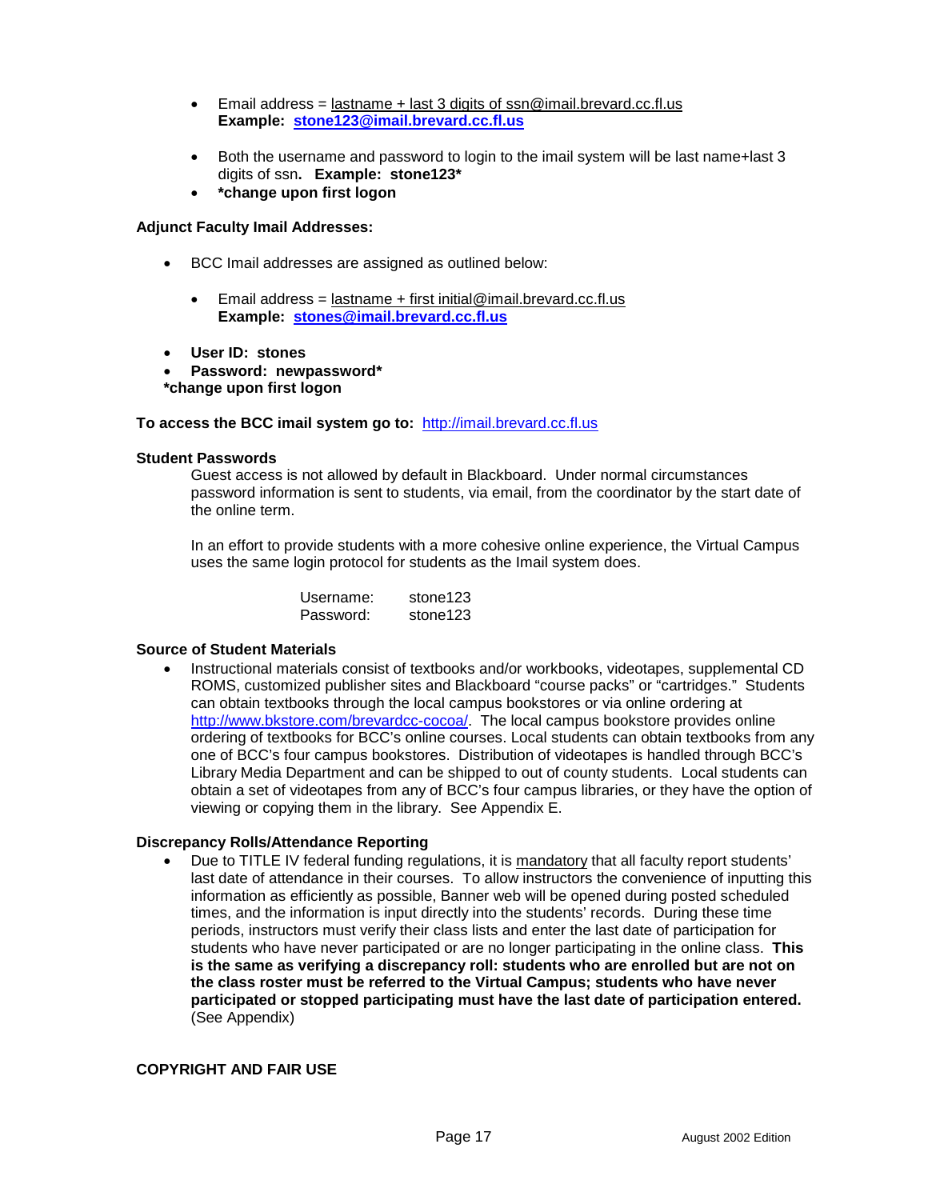- $\bullet$  Email address = lastname + last 3 digits of [ssn@imail.brevard.cc.fl.us](mailto:ssn@imail.brevard.cc.fl.us) **Example: [stone123@imail.brevard.cc.fl.us](mailto:stone123@imail.brevard.cc.fl.us)**
- $\bullet$  Both the username and password to login to the imail system will be last name+last 3 digits of ssn**. Example: stone123\***
- $\bullet$ **\*change upon first logon**

## **Adjunct Faculty Imail Addresses:**

- BCC Imail addresses are assigned as outlined below:
	- - Email address = lastname + first initial@imail.brevard.cc.fl.us **Example: [stones@imail.brevard.cc.fl.us](mailto:stones@imail.brevard.cc.fl.us)**
- -**User ID: stones**
- - **Password: newpassword\* \*change upon first logon**

## **To access the BCC imail system go to:** [http://imail.brevard.cc.fl.us](http://imail.brevard.cc.fl.us/)

## **Student Passwords**

Guest access is not allowed by default in Blackboard. Under normal circumstances password information is sent to students, via email, from the coordinator by the start date of the online term.

In an effort to provide students with a more cohesive online experience, the Virtual Campus uses the same login protocol for students as the Imail system does.

| Username: | stone123 |
|-----------|----------|
| Password: | stone123 |

## **Source of Student Materials**

 $\bullet$  Instructional materials consist of textbooks and/or workbooks, videotapes, supplemental CD ROMS, customized publisher sites and Blackboard "course packs" or "cartridges." Students can obtain textbooks through the local campus bookstores or via online ordering at [http://www.bkstore.com/brevardcc-cocoa/.](http://www.bkstore.com/brevardcc-cocoa/) The local campus bookstore provides online ordering of textbooks for BCC's online courses. Local students can obtain textbooks from any one of BCC's four campus bookstores. Distribution of videotapes is handled through BCC's Library Media Department and can be shipped to out of county students. Local students can obtain a set of videotapes from any of BCC's four campus libraries, or they have the option of viewing or copying them in the library. See Appendix E.

## **Discrepancy Rolls/Attendance Reporting**

- Due to TITLE IV federal funding regulations, it is mandatory that all faculty report students' last date of attendance in their courses. To allow instructors the convenience of inputting this information as efficiently as possible, Banner web will be opened during posted scheduled times, and the information is input directly into the students' records. During these time periods, instructors must verify their class lists and enter the last date of participation for students who have never participated or are no longer participating in the online class. **This is the same as verifying a discrepancy roll: students who are enrolled but are not on the class roster must be referred to the Virtual Campus; students who have never participated or stopped participating must have the last date of participation entered.**  (See Appendix)

## **COPYRIGHT AND FAIR USE**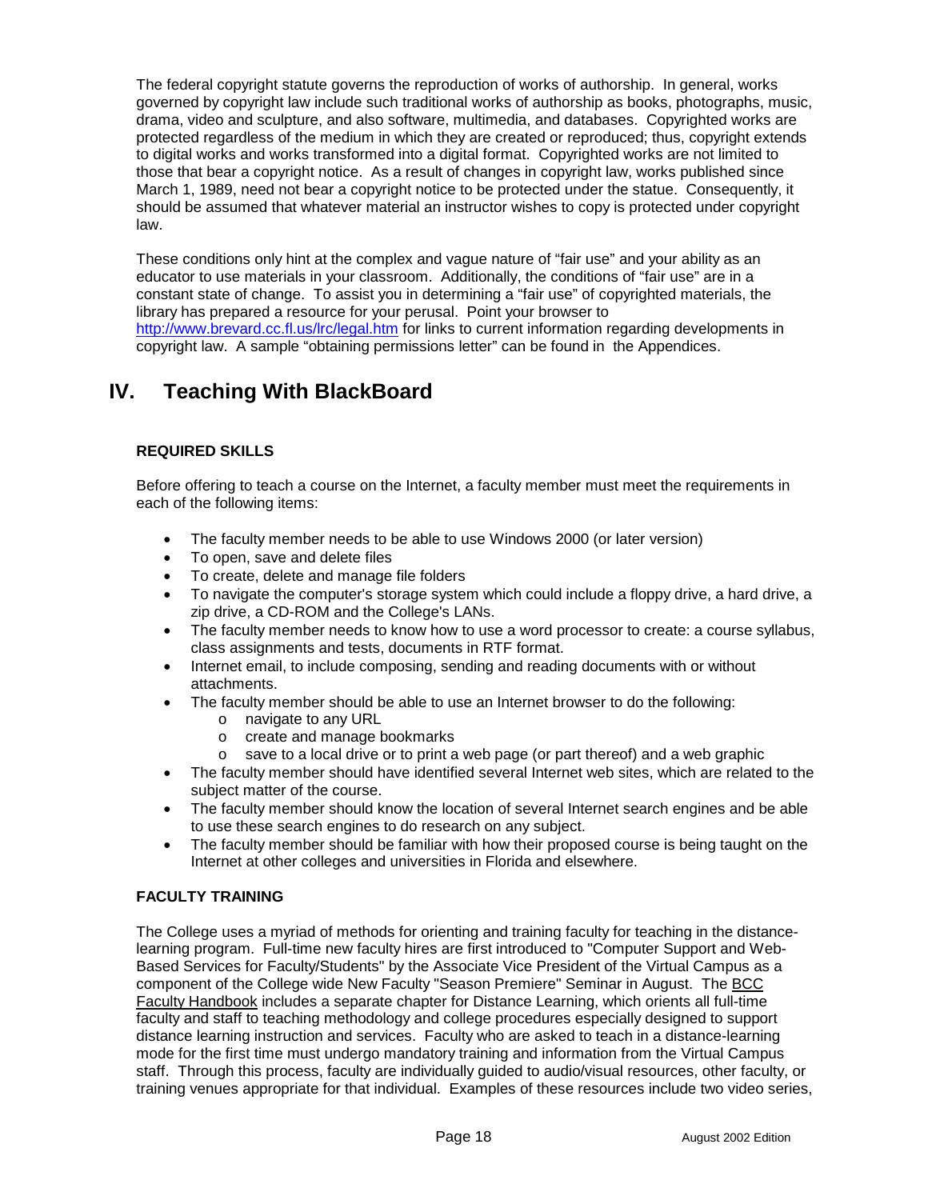The federal copyright statute governs the reproduction of works of authorship. In general, works governed by copyright law include such traditional works of authorship as books, photographs, music, drama, video and sculpture, and also software, multimedia, and databases. Copyrighted works are protected regardless of the medium in which they are created or reproduced; thus, copyright extends to digital works and works transformed into a digital format. Copyrighted works are not limited to those that bear a copyright notice. As a result of changes in copyright law, works published since March 1, 1989, need not bear a copyright notice to be protected under the statue. Consequently, it should be assumed that whatever material an instructor wishes to copy is protected under copyright law.

These conditions only hint at the complex and vague nature of "fair use" and your ability as an educator to use materials in your classroom. Additionally, the conditions of "fair use" are in a constant state of change. To assist you in determining a "fair use" of copyrighted materials, the library has prepared a resource for your perusal. Point your browser to [http://www.brevard.cc.fl.us/lrc/legal.htm f](http://www.brevard.cc.fl.us/lrc/legal.htm)or links to current information regarding developments in copyright law. A sample "obtaining permissions letter" can be found in the Appendices.

## **IV. Teaching With BlackBoard**

## **REQUIRED SKILLS**

Before offering to teach a course on the Internet, a faculty member must meet the requirements in each of the following items:

- The faculty member needs to be able to use Windows 2000 (or later version)
- To open, save and delete files
- -To create, delete and manage file folders
- To navigate the computer's storage system which could include a floppy drive, a hard drive, a zip drive, a CD-ROM and the College's LANs.
- The faculty member needs to know how to use a word processor to create: a course syllabus, class assignments and tests, documents in RTF format.
- Internet email, to include composing, sending and reading documents with or without attachments.
- - The faculty member should be able to use an Internet browser to do the following:
	- o navigate to any URL
	- o create and manage bookmarks
	- $\circ$  save to a local drive or to print a web page (or part thereof) and a web graphic
- The faculty member should have identified several Internet web sites, which are related to the subject matter of the course.
- The faculty member should know the location of several Internet search engines and be able to use these search engines to do research on any subject.
- $\bullet$  The faculty member should be familiar with how their proposed course is being taught on the Internet at other colleges and universities in Florida and elsewhere.

## **FACULTY TRAINING**

The College uses a myriad of methods for orienting and training faculty for teaching in the distancelearning program. Full-time new faculty hires are first introduced to "Computer Support and Web-Based Services for Faculty/Students" by the Associate Vice President of the Virtual Campus as a component of the College wide New Faculty "Season Premiere" Seminar in August. The BCC Faculty Handbook includes a separate chapter for Distance Learning, which orients all full-time faculty and staff to teaching methodology and college procedures especially designed to support distance learning instruction and services. Faculty who are asked to teach in a distance-learning mode for the first time must undergo mandatory training and information from the Virtual Campus staff. Through this process, faculty are individually guided to audio/visual resources, other faculty, or training venues appropriate for that individual. Examples of these resources include two video series,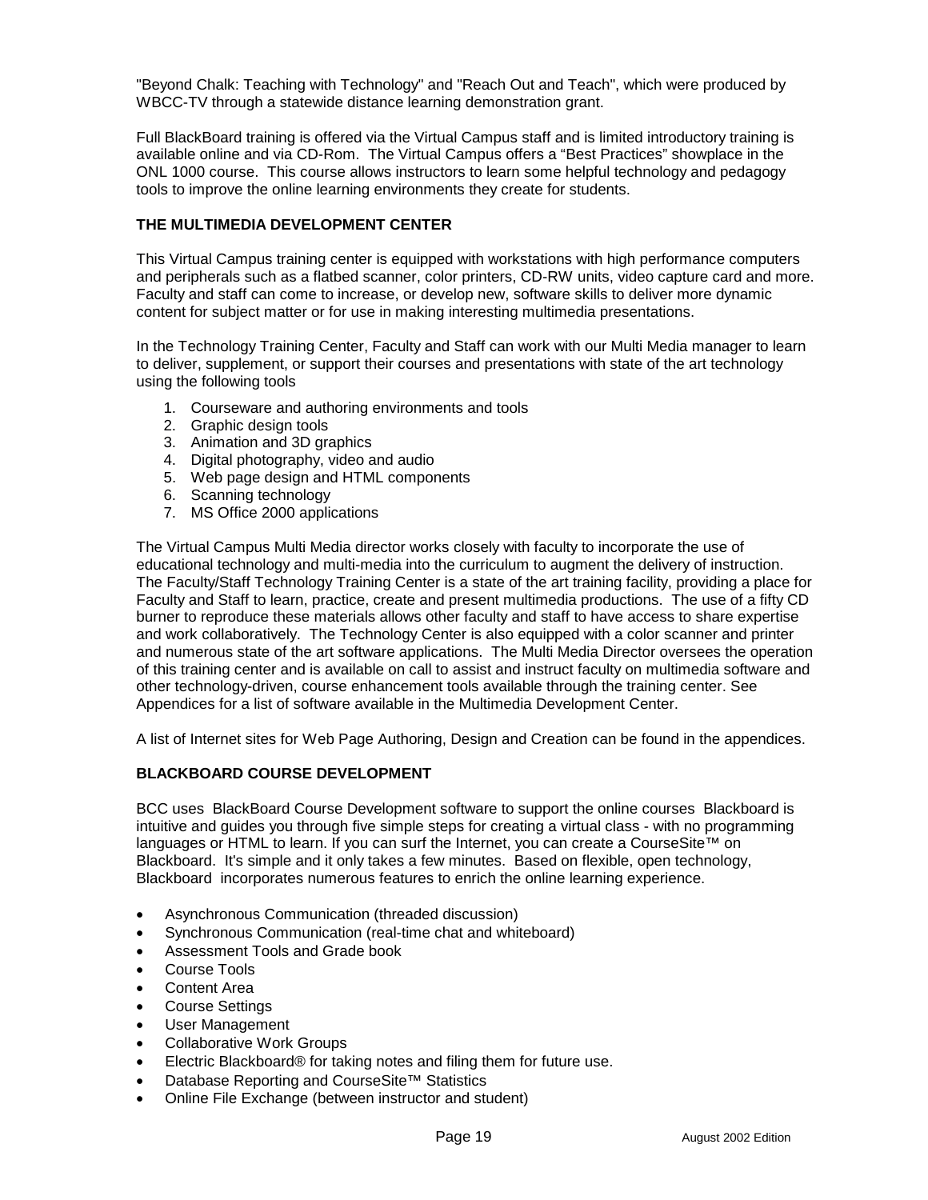"Beyond Chalk: Teaching with Technology" and "Reach Out and Teach", which were produced by WBCC-TV through a statewide distance learning demonstration grant.

Full BlackBoard training is offered via the Virtual Campus staff and is limited introductory training is available online and via CD-Rom. The Virtual Campus offers a "Best Practices" showplace in the ONL 1000 course. This course allows instructors to learn some helpful technology and pedagogy tools to improve the online learning environments they create for students.

## **THE MULTIMEDIA DEVELOPMENT CENTER**

This Virtual Campus training center is equipped with workstations with high performance computers and peripherals such as a flatbed scanner, color printers, CD-RW units, video capture card and more. Faculty and staff can come to increase, or develop new, software skills to deliver more dynamic content for subject matter or for use in making interesting multimedia presentations.

In the Technology Training Center, Faculty and Staff can work with our Multi Media manager to learn to deliver, supplement, or support their courses and presentations with state of the art technology using the following tools

- 1. Courseware and authoring environments and tools
- 2. Graphic design tools
- 3. Animation and 3D graphics
- 4. Digital photography, video and audio
- 5. Web page design and HTML components
- 6. Scanning technology
- 7. MS Office 2000 applications

The Virtual Campus Multi Media director works closely with faculty to incorporate the use of educational technology and multi-media into the curriculum to augment the delivery of instruction. The Faculty/Staff Technology Training Center is a state of the art training facility, providing a place for Faculty and Staff to learn, practice, create and present multimedia productions. The use of a fifty CD burner to reproduce these materials allows other faculty and staff to have access to share expertise and work collaboratively. The Technology Center is also equipped with a color scanner and printer and numerous state of the art software applications. The Multi Media Director oversees the operation of this training center and is available on call to assist and instruct faculty on multimedia software and other technology-driven, course enhancement tools available through the training center. See Appendices for a list of software available in the Multimedia Development Center.

A list of Internet sites for Web Page Authoring, Design and Creation can be found in the appendices.

## **BLACKBOARD COURSE DEVELOPMENT**

BCC uses BlackBoard Course Development software to support the online courses Blackboard is intuitive and guides you through five simple steps for creating a virtual class - with no programming languages or HTML to learn. If you can surf the Internet, you can create a CourseSite™ on Blackboard. It's simple and it only takes a few minutes. Based on flexible, open technology, Blackboard incorporates numerous features to enrich the online learning experience.

- $\bullet$ Asynchronous Communication (threaded discussion)
- $\bullet$ Synchronous Communication (real-time chat and whiteboard)
- -Assessment Tools and Grade book
- $\bullet$ Course Tools
- -Content Area
- $\blacksquare$ Course Settings
- -User Management
- -Collaborative Work Groups
- $\bullet$ Electric Blackboard® for taking notes and filing them for future use.
- -Database Reporting and CourseSite™ Statistics
- -Online File Exchange (between instructor and student)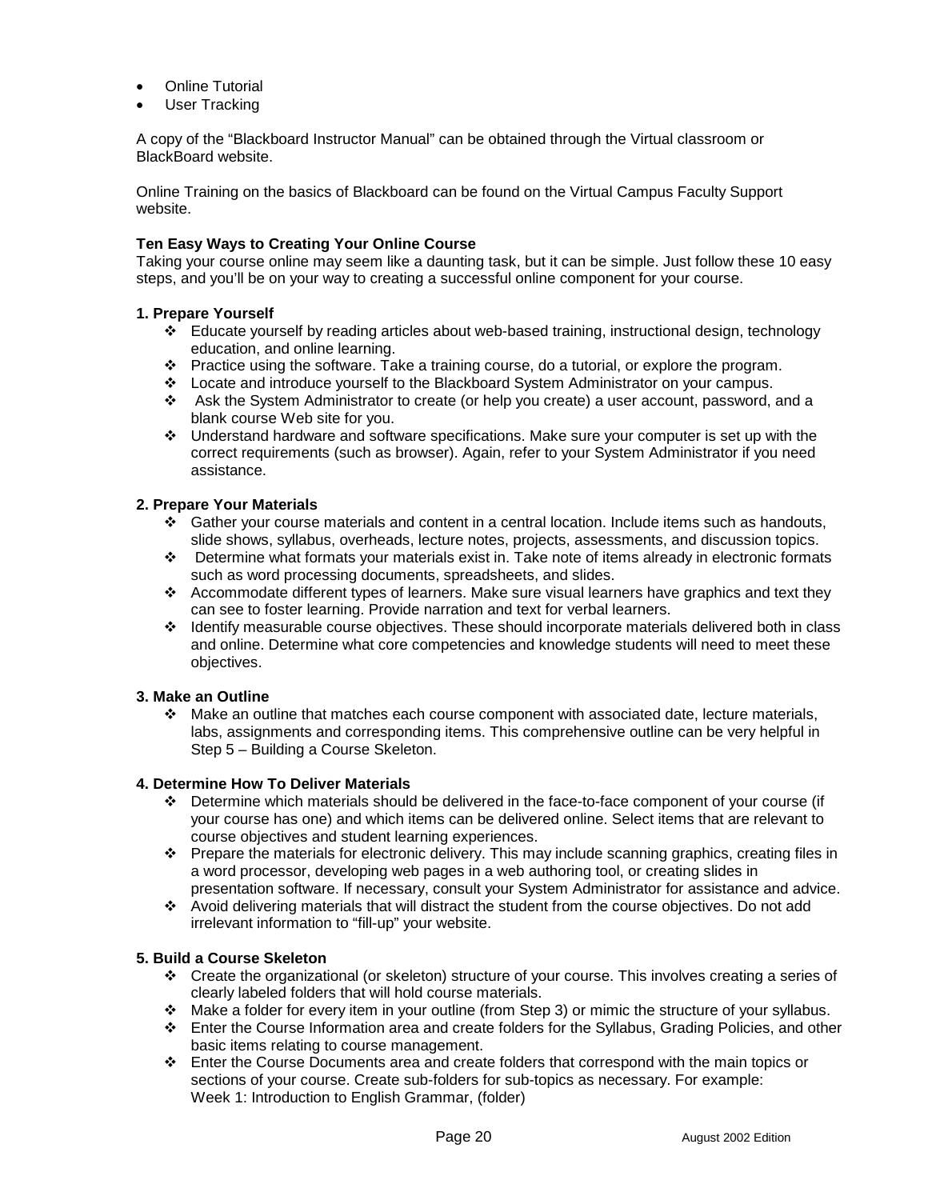- -Online Tutorial
- -User Tracking

A copy of the "Blackboard Instructor Manual" can be obtained through the Virtual classroom or BlackBoard website.

Online Training on the basics of Blackboard can be found on the Virtual Campus Faculty Support website.

## **Ten Easy Ways to Creating Your Online Course**

Taking your course online may seem like a daunting task, but it can be simple. Just follow these 10 easy steps, and you'll be on your way to creating a successful online component for your course.

#### **1. Prepare Yourself**

- -Educate yourself by reading articles about web-based training, instructional design, technology education, and online learning.
- -Practice using the software. Take a training course, do a tutorial, or explore the program.
- \* Locate and introduce yourself to the Blackboard System Administrator on your campus.
- \* Ask the System Administrator to create (or help you create) a user account, password, and a blank course Web site for you.
- -Understand hardware and software specifications. Make sure your computer is set up with the correct requirements (such as browser). Again, refer to your System Administrator if you need assistance.

#### **2. Prepare Your Materials**

- -Gather your course materials and content in a central location. Include items such as handouts, slide shows, syllabus, overheads, lecture notes, projects, assessments, and discussion topics.
- Determine what formats your materials exist in. Take note of items already in electronic formats such as word processing documents, spreadsheets, and slides.
- -Accommodate different types of learners. Make sure visual learners have graphics and text they can see to foster learning. Provide narration and text for verbal learners.
- -Identify measurable course objectives. These should incorporate materials delivered both in class and online. Determine what core competencies and knowledge students will need to meet these objectives.

## **3. Make an Outline**

-Make an outline that matches each course component with associated date, lecture materials, labs, assignments and corresponding items. This comprehensive outline can be very helpful in Step 5 – Building a Course Skeleton.

## **4. Determine How To Deliver Materials**

- -Determine which materials should be delivered in the face-to-face component of your course (if your course has one) and which items can be delivered online. Select items that are relevant to course objectives and student learning experiences.
- \* Prepare the materials for electronic delivery. This may include scanning graphics, creating files in a word processor, developing web pages in a web authoring tool, or creating slides in presentation software. If necessary, consult your System Administrator for assistance and advice.
- -Avoid delivering materials that will distract the student from the course objectives. Do not add irrelevant information to "fill-up" your website.

#### **5. Build a Course Skeleton**

- -Create the organizational (or skeleton) structure of your course. This involves creating a series of clearly labeled folders that will hold course materials.
- -Make a folder for every item in your outline (from Step 3) or mimic the structure of your syllabus.
- \* Enter the Course Information area and create folders for the Syllabus, Grading Policies, and other basic items relating to course management.
- -Enter the Course Documents area and create folders that correspond with the main topics or sections of your course. Create sub-folders for sub-topics as necessary. For example: Week 1: Introduction to English Grammar, (folder)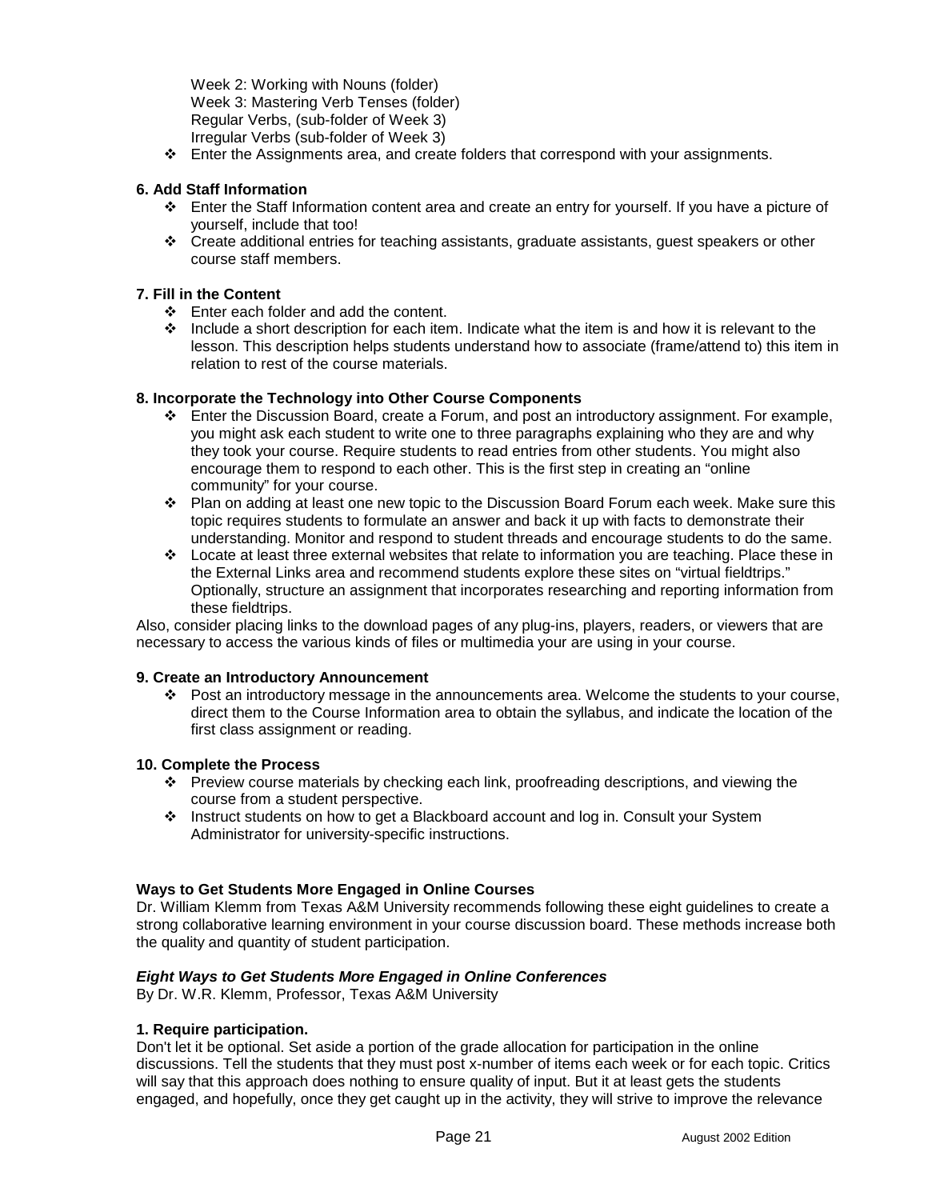Week 2: Working with Nouns (folder) Week 3: Mastering Verb Tenses (folder) Regular Verbs, (sub-folder of Week 3) Irregular Verbs (sub-folder of Week 3)

\* Enter the Assignments area, and create folders that correspond with your assignments.

## **6. Add Staff Information**

- \* Enter the Staff Information content area and create an entry for yourself. If you have a picture of yourself, include that too!
- -Create additional entries for teaching assistants, graduate assistants, guest speakers or other course staff members.

## **7. Fill in the Content**

- -Enter each folder and add the content.
- \* Include a short description for each item. Indicate what the item is and how it is relevant to the lesson. This description helps students understand how to associate (frame/attend to) this item in relation to rest of the course materials.

#### **8. Incorporate the Technology into Other Course Components**

- \* Enter the Discussion Board, create a Forum, and post an introductory assignment. For example, you might ask each student to write one to three paragraphs explaining who they are and why they took your course. Require students to read entries from other students. You might also encourage them to respond to each other. This is the first step in creating an "online community" for your course.
- -Plan on adding at least one new topic to the Discussion Board Forum each week. Make sure this topic requires students to formulate an answer and back it up with facts to demonstrate their understanding. Monitor and respond to student threads and encourage students to do the same.
- -Locate at least three external websites that relate to information you are teaching. Place these in the External Links area and recommend students explore these sites on "virtual fieldtrips." Optionally, structure an assignment that incorporates researching and reporting information from these fieldtrips.

Also, consider placing links to the download pages of any plug-ins, players, readers, or viewers that are necessary to access the various kinds of files or multimedia your are using in your course.

#### **9. Create an Introductory Announcement**

\* Post an introductory message in the announcements area. Welcome the students to your course, direct them to the Course Information area to obtain the syllabus, and indicate the location of the first class assignment or reading.

## **10. Complete the Process**

- \* Preview course materials by checking each link, proofreading descriptions, and viewing the course from a student perspective.
- -Instruct students on how to get a Blackboard account and log in. Consult your System Administrator for university-specific instructions.

## **Ways to Get Students More Engaged in Online Courses**

Dr. William Klemm from Texas A&M University recommends following these eight guidelines to create a strong collaborative learning environment in your course discussion board. These methods increase both the quality and quantity of student participation.

## *Eight Ways to Get Students More Engaged in Online Conferences*

By Dr. W.R. Klemm, Professor, Texas A&M University

## **1. Require participation.**

Don't let it be optional. Set aside a portion of the grade allocation for participation in the online discussions. Tell the students that they must post x-number of items each week or for each topic. Critics will say that this approach does nothing to ensure quality of input. But it at least gets the students engaged, and hopefully, once they get caught up in the activity, they will strive to improve the relevance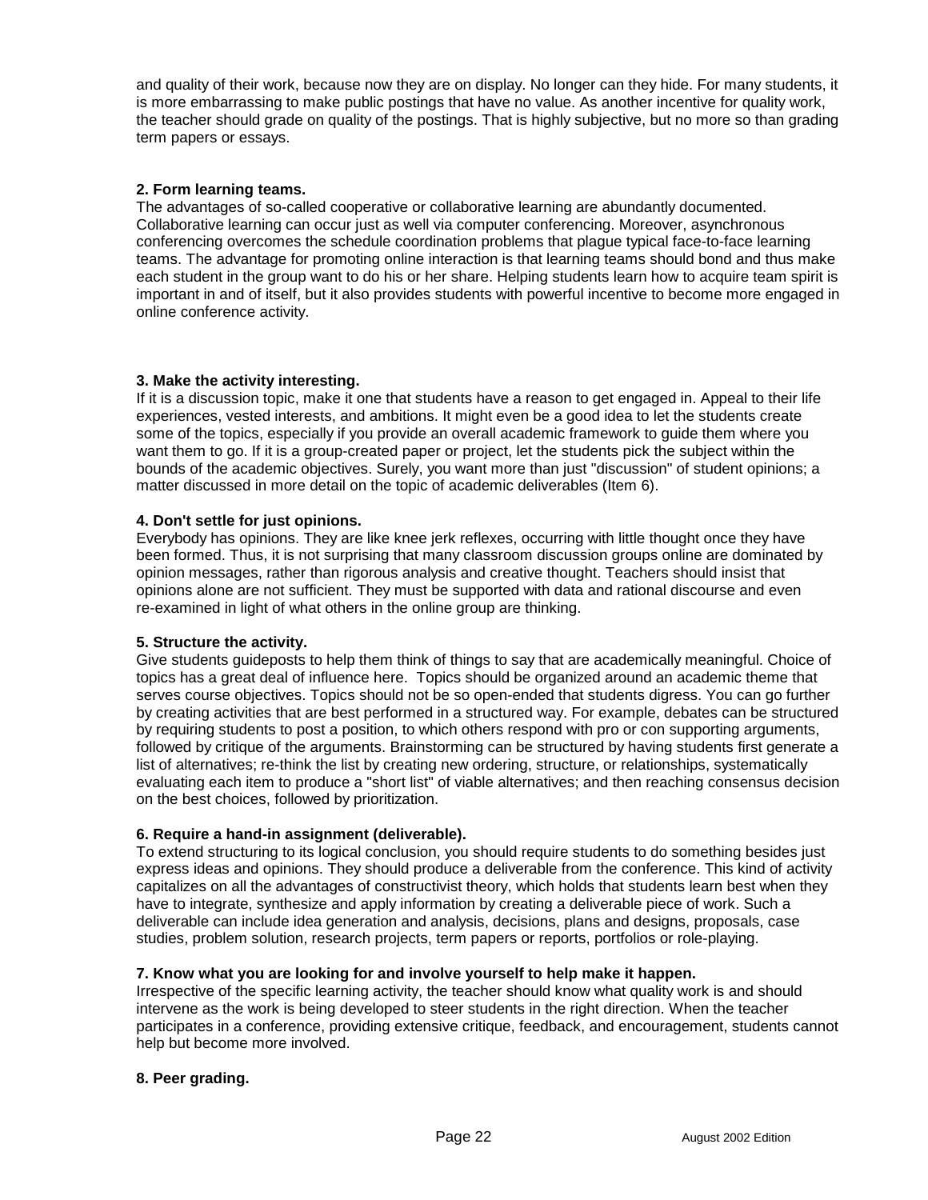and quality of their work, because now they are on display. No longer can they hide. For many students, it is more embarrassing to make public postings that have no value. As another incentive for quality work, the teacher should grade on quality of the postings. That is highly subjective, but no more so than grading term papers or essays.

## **2. Form learning teams.**

The advantages of so-called cooperative or collaborative learning are abundantly documented. Collaborative learning can occur just as well via computer conferencing. Moreover, asynchronous conferencing overcomes the schedule coordination problems that plague typical face-to-face learning teams. The advantage for promoting online interaction is that learning teams should bond and thus make each student in the group want to do his or her share. Helping students learn how to acquire team spirit is important in and of itself, but it also provides students with powerful incentive to become more engaged in online conference activity.

## **3. Make the activity interesting.**

If it is a discussion topic, make it one that students have a reason to get engaged in. Appeal to their life experiences, vested interests, and ambitions. It might even be a good idea to let the students create some of the topics, especially if you provide an overall academic framework to guide them where you want them to go. If it is a group-created paper or project, let the students pick the subject within the bounds of the academic objectives. Surely, you want more than just "discussion" of student opinions; a matter discussed in more detail on the topic of academic deliverables (Item 6).

## **4. Don't settle for just opinions.**

Everybody has opinions. They are like knee jerk reflexes, occurring with little thought once they have been formed. Thus, it is not surprising that many classroom discussion groups online are dominated by opinion messages, rather than rigorous analysis and creative thought. Teachers should insist that opinions alone are not sufficient. They must be supported with data and rational discourse and even re-examined in light of what others in the online group are thinking.

## **5. Structure the activity.**

Give students guideposts to help them think of things to say that are academically meaningful. Choice of topics has a great deal of influence here. Topics should be organized around an academic theme that serves course objectives. Topics should not be so open-ended that students digress. You can go further by creating activities that are best performed in a structured way. For example, debates can be structured by requiring students to post a position, to which others respond with pro or con supporting arguments, followed by critique of the arguments. Brainstorming can be structured by having students first generate a list of alternatives; re-think the list by creating new ordering, structure, or relationships, systematically evaluating each item to produce a "short list" of viable alternatives; and then reaching consensus decision on the best choices, followed by prioritization.

## **6. Require a hand-in assignment (deliverable).**

To extend structuring to its logical conclusion, you should require students to do something besides just express ideas and opinions. They should produce a deliverable from the conference. This kind of activity capitalizes on all the advantages of constructivist theory, which holds that students learn best when they have to integrate, synthesize and apply information by creating a deliverable piece of work. Such a deliverable can include idea generation and analysis, decisions, plans and designs, proposals, case studies, problem solution, research projects, term papers or reports, portfolios or role-playing.

## **7. Know what you are looking for and involve yourself to help make it happen.**

Irrespective of the specific learning activity, the teacher should know what quality work is and should intervene as the work is being developed to steer students in the right direction. When the teacher participates in a conference, providing extensive critique, feedback, and encouragement, students cannot help but become more involved.

## **8. Peer grading.**